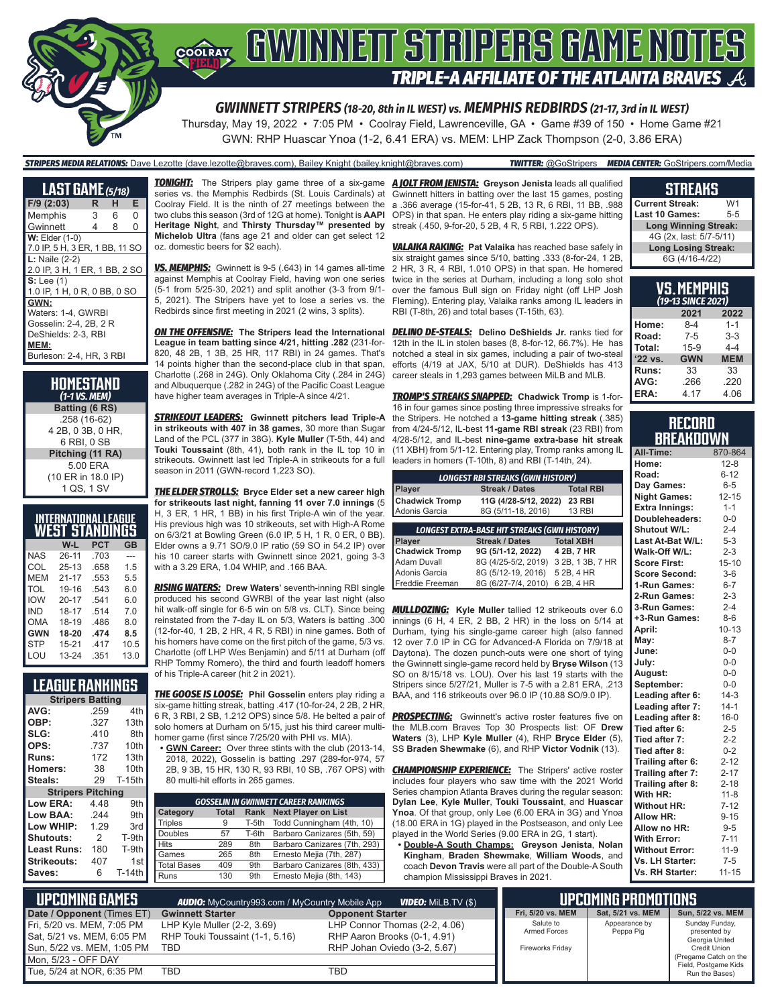

Thursday, May 19, 2022 • 7:05 PM • Coolray Field, Lawrenceville, GA • Game #39 of 150 • Home Game #21 GWN: RHP Huascar Ynoa (1-2, 6.41 ERA) vs. MEM: LHP Zack Thompson (2-0, 3.86 ERA)

#### *STRIPERS MEDIA RELATIONS:* Dave Lezotte (dave.lezotte@braves.com), Bailey Knight (bailey.knight@braves.com) *TWITTER:* @GoStripers *MEDIA CENTER:* GoStripers.com/Media

| <b>LAST GAME</b> (5/18)        |   |   |   |  |  |
|--------------------------------|---|---|---|--|--|
| F/9 (2:03)                     | R | н | Е |  |  |
| Memphis                        | 3 | 6 | 0 |  |  |
| Gwinnett                       | 4 | 8 | 0 |  |  |
| <b>W: Elder (1-0)</b>          |   |   |   |  |  |
| 7.0 IP, 5 H, 3 ER, 1 BB, 11 SO |   |   |   |  |  |
| $L:$ Naile $(2-2)$             |   |   |   |  |  |
| 2.0 IP, 3 H, 1 ER, 1 BB, 2 SO  |   |   |   |  |  |
| $S:$ Lee $(1)$                 |   |   |   |  |  |
| 1.0 IP, 1 H, 0 R, 0 BB, 0 SO   |   |   |   |  |  |
| GWN:                           |   |   |   |  |  |
| Waters: 1-4, GWRBI             |   |   |   |  |  |
| Gosselin: 2-4, 2B, 2 R         |   |   |   |  |  |
| DeShields: 2-3, RBI            |   |   |   |  |  |
| MEM:                           |   |   |   |  |  |
| Burleson: 2-4. HR. 3 RBI       |   |   |   |  |  |

**HOMESTAND** *(1-1 VS. MEM)* **Batting (6 RS)** .258 (16-62) 4 2B, 0 3B, 0 HR, 6 RBI, 0 SB **Pitching (11 RA)** 5.00 ERA (10 ER in 18.0 IP) 1 QS, 1 SV

|            | INTERNATIONAL LEAGUE<br>WEST STANDINGS |            |           |
|------------|----------------------------------------|------------|-----------|
|            | W-L                                    | <b>PCT</b> | <b>GB</b> |
| <b>NAS</b> | 26-11                                  | .703       |           |
| COL        | $25 - 13$                              | .658       | 1.5       |
| <b>MEM</b> | $21 - 17$                              | .553       | 5.5       |
| וחד        | 19-16                                  | 543        | 6.0       |
| <b>IOW</b> | $20 - 17$                              | 541        | 6.0       |
| IND        | 18-17                                  | .514       | 7.0       |
| <b>OMA</b> | 18-19                                  | .486       | 8.0       |
| <b>GWN</b> | 18-20                                  | .474       | 8.5       |
| <b>STP</b> | $15 - 21$                              | 417        | 10.5      |
| LOU        | 13-24                                  | .351       | 13.0      |

### **LEAGUE RANKINGS**

| <b>Stripers Batting</b> |                          |               |  |  |  |  |  |
|-------------------------|--------------------------|---------------|--|--|--|--|--|
| AVG:                    | .259                     | 4th           |  |  |  |  |  |
| OBP:                    | .327                     | 13th          |  |  |  |  |  |
| SLG:                    | .410                     | 8th           |  |  |  |  |  |
| OPS:                    | .737                     | 10th          |  |  |  |  |  |
| <b>Runs:</b>            | 172                      | 13th          |  |  |  |  |  |
| <b>Homers:</b>          | 38                       | 10th          |  |  |  |  |  |
| Steals:                 | 29                       | <b>T-15th</b> |  |  |  |  |  |
|                         | <b>Stripers Pitching</b> |               |  |  |  |  |  |
| Low ERA:                | 4.48                     | 9th           |  |  |  |  |  |
| Low BAA:                | .244                     | 9th           |  |  |  |  |  |
| Low WHIP:               | 1.29                     | 3rd           |  |  |  |  |  |
| <b>Shutouts:</b>        | $\mathcal{P}$            | T-9th         |  |  |  |  |  |
| Least Runs:             | 180                      | T-9th         |  |  |  |  |  |
| Strikeouts:             | 407                      | 1st           |  |  |  |  |  |
| Saves:                  | 6                        | T-14th        |  |  |  |  |  |

two clubs this season (3rd of 12G at home). Tonight is **AAPI Heritage Night**, and **Thirsty Thursday™ presented by Michelob Ultra** (fans age 21 and older can get select 12 oz. domestic beers for \$2 each).

*VS. MEMPHIS:* Gwinnett is 9-5 (.643) in 14 games all-time against Memphis at Coolray Field, having won one series (5-1 from 5/25-30, 2021) and split another (3-3 from 9/1- 5, 2021). The Stripers have yet to lose a series vs. the Redbirds since first meeting in 2021 (2 wins, 3 splits).

*ON THE OFFENSIVE:* **The Stripers lead the International**  *DELINO DE-STEALS:* **Delino DeShields Jr.** ranks tied for **League in team batting since 4/21, hitting .282** (231-for-820, 48 2B, 1 3B, 25 HR, 117 RBI) in 24 games. That's 14 points higher than the second-place club in that span, Charlotte (.268 in 24G). Only Oklahoma City (.284 in 24G) and Albuquerque (.282 in 24G) of the Pacific Coast League have higher team averages in Triple-A since 4/21.

*STRIKEOUT LEADERS:* **Gwinnett pitchers lead Triple-A in strikeouts with 407 in 38 games**, 30 more than Sugar Land of the PCL (377 in 38G). **Kyle Muller** (T-5th, 44) and **Touki Toussaint** (8th, 41), both rank in the IL top 10 in strikeouts. Gwinnett last led Triple-A in strikeouts for a full season in 2011 (GWN-record 1,223 SO).

*THE ELDER STROLLS:* **Bryce Elder set a new career high for strikeouts last night, fanning 11 over 7.0 innings** (5 H, 3 ER, 1 HR, 1 BB) in his first Triple-A win of the year. His previous high was 10 strikeouts, set with High-A Rome on 6/3/21 at Bowling Green (6.0 IP, 5 H, 1 R, 0 ER, 0 BB). Elder owns a 9.71 SO/9.0 IP ratio (59 SO in 54.2 IP) over his 10 career starts with Gwinnett since 2021, going 3-3 with a 3.29 ERA, 1.04 WHIP, and .166 BAA.

*RISING WATERS:* **Drew Waters**' seventh-inning RBI single produced his second GWRBI of the year last night (also hit walk-off single for 6-5 win on 5/8 vs. CLT). Since being reinstated from the 7-day IL on 5/3, Waters is batting .300 (12-for-40, 1 2B, 2 HR, 4 R, 5 RBI) in nine games. Both of his homers have come on the first pitch of the game, 5/3 vs. Charlotte (off LHP Wes Benjamin) and 5/11 at Durham (off RHP Tommy Romero), the third and fourth leadoff homers of his Triple-A career (hit 2 in 2021).

*THE GOOSE IS LOOSE:* **Phil Gosselin** enters play riding a BAA, and 116 strikeouts over 96.0 IP (10.88 SO/9.0 IP). six-game hitting streak, batting .417 (10-for-24, 2 2B, 2 HR, 6 R, 3 RBI, 2 SB, 1.212 OPS) since 5/8. He belted a pair of solo homers at Durham on 5/15, just his third career multihomer game (first since 7/25/20 with PHI vs. MIA).

**• GWN Career:** Over three stints with the club (2013-14, 2018, 2022), Gosselin is batting .297 (289-for-974, 57 2B, 9 3B, 15 HR, 130 R, 93 RBI, 10 SB, .767 OPS) with 80 multi-hit efforts in 265 games.

| <b>GOSSELIN IN GWINNETT CAREER RANKINGS</b> |              |                 |                              |  |  |  |  |
|---------------------------------------------|--------------|-----------------|------------------------------|--|--|--|--|
| Category                                    | <b>Total</b> | Rank            | <b>Next Player on List</b>   |  |  |  |  |
| <b>Triples</b>                              | 9            | T-5th           | Todd Cunningham (4th, 10)    |  |  |  |  |
| <b>Doubles</b>                              | 57           | T-6th           | Barbaro Canizares (5th, 59)  |  |  |  |  |
| <b>Hits</b>                                 | 289          | 8th             | Barbaro Canizares (7th, 293) |  |  |  |  |
| Games                                       | 265          | 8th             | Ernesto Mejia (7th, 287)     |  |  |  |  |
| <b>Total Bases</b>                          | 409          | 9th             | Barbaro Canizares (8th, 433) |  |  |  |  |
| Runs                                        | 130          | 9 <sub>th</sub> | Ernesto Mejia (8th, 143)     |  |  |  |  |

*TONIGHT:* The Stripers play game three of a six-game *A JOLT FROM JENISTA:* **Greyson Jenista** leads all qualified series vs. the Memphis Redbirds (St. Louis Cardinals) at Gwinnett hitters in batting over the last 15 games, posting Coolray Field. It is the ninth of 27 meetings between the a .366 average (15-for-41, 5 2B, 13 R, 6 RBI, 11 BB, .988 OPS) in that span. He enters play riding a six-game hitting streak (.450, 9-for-20, 5 2B, 4 R, 5 RBI, 1.222 OPS).

> *VALAIKA RAKING:* **Pat Valaika** has reached base safely in six straight games since 5/10, batting .333 (8-for-24, 1 2B, 2 HR, 3 R, 4 RBI, 1.010 OPS) in that span. He homered twice in the series at Durham, including a long solo shot over the famous Bull sign on Friday night (off LHP Josh Fleming). Entering play, Valaika ranks among IL leaders in RBI (T-8th, 26) and total bases (T-15th, 63).

> 12th in the IL in stolen bases (8, 8-for-12, 66.7%). He has notched a steal in six games, including a pair of two-steal efforts (4/19 at JAX, 5/10 at DUR). DeShields has 413 career steals in 1,293 games between MiLB and MLB.

> *TROMP'S STREAKS SNAPPED:* **Chadwick Tromp** is 1-for-16 in four games since posting three impressive streaks for the Stripers. He notched a **13-game hitting streak** (.385) from 4/24-5/12, IL-best **11-game RBI streak** (23 RBI) from 4/28-5/12, and IL-best **nine-game extra-base hit streak** (11 XBH) from 5/1-12. Entering play, Tromp ranks among IL leaders in homers (T-10th, 8) and RBI (T-14th, 24).

| <b>LONGEST RBI STREAKS (GWN HISTORY)</b> |                                                     |                  |  |  |  |  |
|------------------------------------------|-----------------------------------------------------|------------------|--|--|--|--|
| Player                                   | <b>Streak / Dates</b>                               | <b>Total RBI</b> |  |  |  |  |
| <b>Chadwick Tromp</b>                    | 11G (4/28-5/12, 2022)                               | <b>23 RBI</b>    |  |  |  |  |
| Adonis Garcia                            | 8G (5/11-18, 2016)                                  | <b>13 RBI</b>    |  |  |  |  |
|                                          |                                                     |                  |  |  |  |  |
|                                          | <b>LONGEST EXTRA-BASE HIT STREAKS (GWN HISTORY)</b> |                  |  |  |  |  |
| Player                                   | <b>Streak / Dates</b>                               | <b>Total XBH</b> |  |  |  |  |
| <b>Chadwick Tromp</b>                    | 9G (5/1-12, 2022)                                   | 4 2B, 7 HR       |  |  |  |  |
| <b>Adam Duvall</b>                       | 8G (4/25-5/2, 2019)                                 | 3 2B, 1 3B, 7 HR |  |  |  |  |
| Adonis Garcia                            | 8G (5/12-19, 2016)                                  | 5 2B, 4 HR       |  |  |  |  |
| Freddie Freeman                          | 8G (6/27-7/4, 2010)                                 | 6 2B, 4 HR       |  |  |  |  |

*MULLDOZING:* **Kyle Muller** tallied 12 strikeouts over 6.0 innings (6 H, 4 ER, 2 BB, 2 HR) in the loss on 5/14 at Durham, tying his single-game career high (also fanned 12 over 7.0 IP in CG for Advanced-A Florida on 7/9/18 at Daytona). The dozen punch-outs were one short of tying the Gwinnett single-game record held by **Bryse Wilson** (13 SO on 8/15/18 vs. LOU). Over his last 19 starts with the Stripers since 5/27/21, Muller is 7-5 with a 2.81 ERA, .213

**PROSPECTING:** Gwinnett's active roster features five on the MLB.com Braves Top 30 Prospects list: OF **Drew Waters** (3), LHP **Kyle Muller** (4), RHP **Bryce Elder** (5), SS **Braden Shewmake** (6), and RHP **Victor Vodnik** (13).

**CHAMPIONSHIP EXPERIENCE:** The Stripers' active roster includes four players who saw time with the 2021 World Series champion Atlanta Braves during the regular season: **Dylan Lee**, **Kyle Muller**, **Touki Toussaint**, and **Huascar Ynoa**. Of that group, only Lee (6.00 ERA in 3G) and Ynoa (18.00 ERA in 1G) played in the Postseason, and only Lee played in the World Series (9.00 ERA in 2G, 1 start).

**• Double-A South Champs: Greyson Jenista**, **Nolan Kingham**, **Braden Shewmake**, **William Woods**, and coach **Devon Travis** were all part of the Double-A South champion Mississippi Braves in 2021.

#### **STREAKS**

| <b>Current Streak:</b>      | W <sub>1</sub> |  |  |  |
|-----------------------------|----------------|--|--|--|
| <b>Last 10 Games:</b>       | $5 - 5$        |  |  |  |
| <b>Long Winning Streak:</b> |                |  |  |  |
| 4G (2x, last: 5/7-5/11)     |                |  |  |  |
| <b>Long Losing Streak:</b>  |                |  |  |  |
| 6G (4/16-4/22)              |                |  |  |  |

| VS.MEMPHIS<br>(19-13 SINCE 2021) |            |            |  |  |  |  |
|----------------------------------|------------|------------|--|--|--|--|
|                                  | 2021       | 2022       |  |  |  |  |
| Home:                            | $8 - 4$    | $1 - 1$    |  |  |  |  |
| Road:                            | $7 - 5$    | $3-3$      |  |  |  |  |
| Total:                           | $15-9$     | $4 - 4$    |  |  |  |  |
| '22 vs.                          | <b>GWN</b> | <b>MEM</b> |  |  |  |  |
| <b>Runs:</b>                     | 33         | 33         |  |  |  |  |
| AVG:                             | .266       | .220       |  |  |  |  |
| ERA:                             | 4.17       | 4.06       |  |  |  |  |

#### **RECORD RRFAKNOWN**

| All-Time:             | 870-864   |
|-----------------------|-----------|
| Home:                 | $12 - 8$  |
| Road:                 | $6 - 12$  |
| Day Games:            | $6-5$     |
| <b>Night Games:</b>   | $12 - 15$ |
| <b>Extra Innings:</b> | $1 - 1$   |
| Doubleheaders:        | $0 - 0$   |
| <b>Shutout W/L:</b>   | $2 - 4$   |
| Last At-Bat W/L:      | $5 - 3$   |
| Walk-Off W/L:         | $2 - 3$   |
| <b>Score First:</b>   | $15 - 10$ |
| <b>Score Second:</b>  | $3-6$     |
| 1-Run Games:          | $6 - 7$   |
| 2-Run Games:          | $2 - 3$   |
| 3-Run Games:          | $2 - 4$   |
| +3-Run Games:         | $8 - 6$   |
| April:                | $10 - 13$ |
| May:                  | $8 - 7$   |
| June:                 | $0-0$     |
| July:                 | $0-0$     |
| August:               | $0-0$     |
| September:            | $0 - 0$   |
| Leading after 6:      | $14-3$    |
| Leading after 7:      | $14-1$    |
| Leading after 8:      | $16-0$    |
| Tied after 6:         | $2 - 5$   |
| Tied after 7:         | $2 - 2$   |
| Tied after 8:         | $0 - 2$   |
| Trailing after 6:     | $2 - 12$  |
| Trailing after 7:     | $2 - 17$  |
| Trailing after 8:     | $2 - 18$  |
| With HR:              | $11 - 8$  |
| <b>Without HR:</b>    | $7 - 12$  |
| <b>Allow HR:</b>      | $9 - 15$  |
| Allow no HR:          | $9 - 5$   |
| <b>With Error:</b>    | $7 - 11$  |
| <b>Without Error:</b> | $11-9$    |
| Vs. LH Starter:       | $7 - 5$   |
| Vs. RH Starter:       | $11 - 15$ |

| L UPCOMING GAMES <b>I</b>                                |                                                                         | <b>UPCOMING PROMOTIONS</b>                                                                    |                                                      |                            |                                                                  |
|----------------------------------------------------------|-------------------------------------------------------------------------|-----------------------------------------------------------------------------------------------|------------------------------------------------------|----------------------------|------------------------------------------------------------------|
| Date / Opponent (Times ET)                               | <b>Gwinnett Starter</b>                                                 | <b>Opponent Starter</b>                                                                       | Fri, 5/20 vs. MEM                                    | Sat, 5/21 vs. MEM          | Sun, 5/22 vs. MEM                                                |
| Fri, 5/20 vs. MEM, 7:05 PM<br>Sat, 5/21 vs. MEM, 6:05 PM | LHP Kyle Muller $(2-2, 3.69)$<br>RHP Touki Toussaint (1-1, 5.16)<br>TBD | LHP Connor Thomas (2-2, 4.06)<br>RHP Aaron Brooks (0-1, 4.91)<br>RHP Johan Oviedo (3-2, 5.67) | Salute to<br>Armed Forces<br><b>Fireworks Friday</b> | Appearance by<br>Peppa Pig | Sunday Funday,<br>presented by<br>Georgia United<br>Credit Union |
| Sun, 5/22 vs. MEM, 1:05 PM<br>Mon. 5/23 - OFF DAY        |                                                                         |                                                                                               |                                                      |                            | (Pregame Catch on the<br>Field, Postgame Kids                    |
| Tue, 5/24 at NOR, 6:35 PM                                | TBD                                                                     | TBD                                                                                           |                                                      |                            | Run the Bases)                                                   |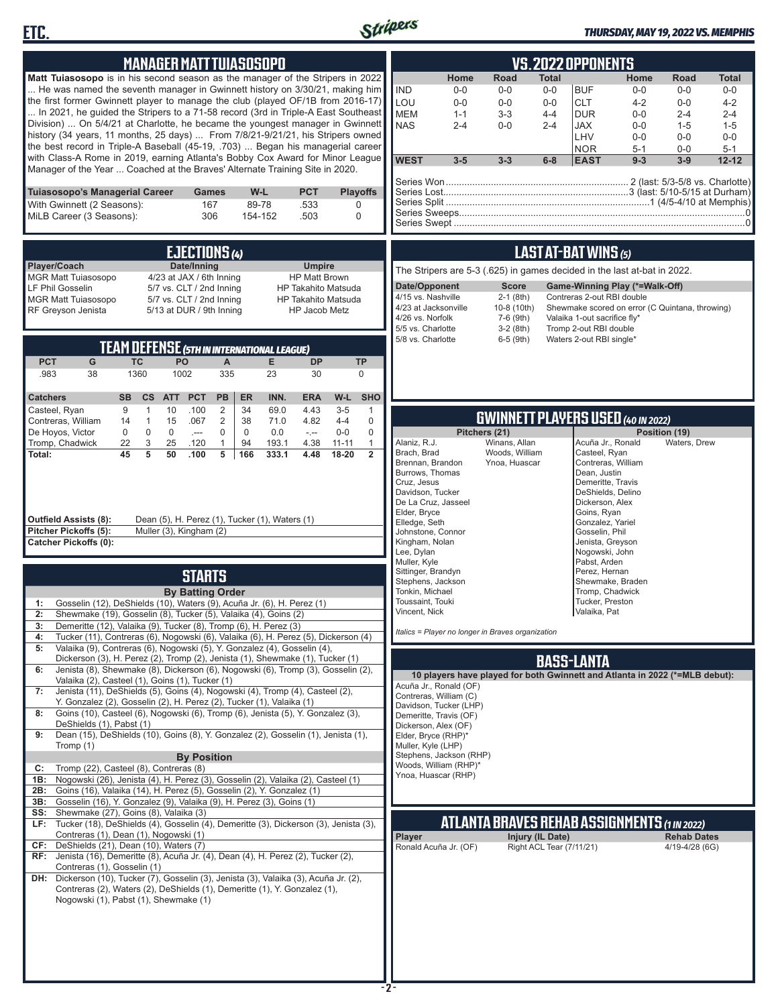



### *THURSDAY, MAY 19, 2022 VS. MEMPHIS*

| <b>MANAGER MATT TUIASOSOPO</b>                                                                                                                                                                                                                                                                                                                                                                                                                                                                                                                                                                                                                                                                                                                                                                                                                                                                                                                                                                                                                                                                                                                                                                                                                                                                                                                                                                                                                                                                                                                                                                                                                                                                                                                                                                                                                                                                                                                                                                       | VS.2022 OPPONENTS                                                                                                                                                                                                                                                                                                                                                                                                                                                                                                                                                                                                                                                                                                                                                                                                                                             |
|------------------------------------------------------------------------------------------------------------------------------------------------------------------------------------------------------------------------------------------------------------------------------------------------------------------------------------------------------------------------------------------------------------------------------------------------------------------------------------------------------------------------------------------------------------------------------------------------------------------------------------------------------------------------------------------------------------------------------------------------------------------------------------------------------------------------------------------------------------------------------------------------------------------------------------------------------------------------------------------------------------------------------------------------------------------------------------------------------------------------------------------------------------------------------------------------------------------------------------------------------------------------------------------------------------------------------------------------------------------------------------------------------------------------------------------------------------------------------------------------------------------------------------------------------------------------------------------------------------------------------------------------------------------------------------------------------------------------------------------------------------------------------------------------------------------------------------------------------------------------------------------------------------------------------------------------------------------------------------------------------|---------------------------------------------------------------------------------------------------------------------------------------------------------------------------------------------------------------------------------------------------------------------------------------------------------------------------------------------------------------------------------------------------------------------------------------------------------------------------------------------------------------------------------------------------------------------------------------------------------------------------------------------------------------------------------------------------------------------------------------------------------------------------------------------------------------------------------------------------------------|
| Matt Tuiasosopo is in his second season as the manager of the Stripers in 2022<br>He was named the seventh manager in Gwinnett history on 3/30/21, making him<br>the first former Gwinnett player to manage the club (played OF/1B from 2016-17)<br>In 2021, he guided the Stripers to a 71-58 record (3rd in Triple-A East Southeast<br>Division)  On 5/4/21 at Charlotte, he became the youngest manager in Gwinnett<br>history (34 years, 11 months, 25 days)  From 7/8/21-9/21/21, his Stripers owned<br>the best record in Triple-A Baseball (45-19, .703)  Began his managerial career<br>with Class-A Rome in 2019, earning Atlanta's Bobby Cox Award for Minor League<br>Manager of the Year  Coached at the Braves' Alternate Training Site in 2020.                                                                                                                                                                                                                                                                                                                                                                                                                                                                                                                                                                                                                                                                                                                                                                                                                                                                                                                                                                                                                                                                                                                                                                                                                                        | Home<br>Road<br><b>Total</b><br>Home<br><b>Total</b><br>Road<br><b>IND</b><br>$0-0$<br>$0-0$<br><b>BUF</b><br>$0-0$<br>$0-0$<br>$0-0$<br>$0-0$<br>LOU<br><b>CLT</b><br>$0-0$<br>$0-0$<br>$0 - 0$<br>$4 - 2$<br>$4 - 2$<br>$0-0$<br><b>MEM</b><br>$1 - 1$<br>$3 - 3$<br>$4 - 4$<br><b>DUR</b><br>$0 - 0$<br>$2 - 4$<br>$2 - 4$<br><b>NAS</b><br>$2 - 4$<br>$0-0$<br><b>JAX</b><br>$2 - 4$<br>$0-0$<br>$1 - 5$<br>$1 - 5$<br>LHV<br>$0 - 0$<br>$0 - 0$<br>$0-0$<br><b>NOR</b><br>$5 - 1$<br>$0-0$<br>$5 - 1$<br><b>WEST</b><br>$3 - 5$<br>$3 - 3$<br>$12 - 12$<br>$6-8$<br><b>EAST</b><br>$9 - 3$<br>$3-9$                                                                                                                                                                                                                                                      |
| Tuiasosopo's Managerial Career<br>W-L<br><b>PCT</b><br><b>Playoffs</b><br>Games<br>With Gwinnett (2 Seasons):<br>89-78<br>.533<br>167<br>0<br>MiLB Career (3 Seasons):<br>306<br>154-152<br>.503<br>0                                                                                                                                                                                                                                                                                                                                                                                                                                                                                                                                                                                                                                                                                                                                                                                                                                                                                                                                                                                                                                                                                                                                                                                                                                                                                                                                                                                                                                                                                                                                                                                                                                                                                                                                                                                                |                                                                                                                                                                                                                                                                                                                                                                                                                                                                                                                                                                                                                                                                                                                                                                                                                                                               |
| <b>EJECTIONS (4)</b><br>Player/Coach<br>Date/Inning<br><b>Umpire</b><br><b>MGR Matt Tuiasosopo</b><br>4/23 at JAX / 6th Inning<br><b>HP Matt Brown</b><br><b>LF Phil Gosselin</b><br>5/7 vs. CLT / 2nd Inning<br><b>HP Takahito Matsuda</b><br><b>MGR Matt Tuiasosopo</b><br>5/7 vs. CLT / 2nd Inning<br>HP Takahito Matsuda<br>RF Greyson Jenista<br>5/13 at DUR / 9th Inning<br>HP Jacob Metz<br><b>TEAM DEFENSE (5TH IN INTERNATIONAL LEAGUE)</b>                                                                                                                                                                                                                                                                                                                                                                                                                                                                                                                                                                                                                                                                                                                                                                                                                                                                                                                                                                                                                                                                                                                                                                                                                                                                                                                                                                                                                                                                                                                                                 | <b>LAST AT-BAT WINS (5)</b><br>The Stripers are 5-3 (.625) in games decided in the last at-bat in 2022.<br>Date/Opponent<br><b>Score</b><br>Game-Winning Play (*=Walk-Off)<br>4/15 vs. Nashville<br>$2-1$ (8th)<br>Contreras 2-out RBI double<br>4/23 at Jacksonville<br>10-8 (10th)<br>Shewmake scored on error (C Quintana, throwing)<br>4/26 vs. Norfolk<br>7-6 (9th)<br>Valaika 1-out sacrifice fly*<br>5/5 vs. Charlotte<br>$3-2(8th)$<br>Tromp 2-out RBI double<br>5/8 vs. Charlotte<br>$6-5$ (9th)<br>Waters 2-out RBI single*                                                                                                                                                                                                                                                                                                                         |
| <b>PCT</b><br>G<br><b>TC</b><br>PO<br>$\mathsf{A}$<br>E.<br><b>DP</b><br><b>TP</b><br>335<br>.983<br>38<br>1360<br>1002<br>23<br>30<br>0<br>W-L<br><b>SHO</b><br><b>Catchers</b><br><b>SB</b><br><b>CS</b><br><b>PCT</b><br>PB<br>ER<br>INN.<br><b>ERA</b><br><b>ATT</b><br>9<br>$\mathbf{1}$<br>10<br>.100<br>$\overline{c}$<br>34<br>69.0<br>$3-5$<br>$\mathbf{1}$<br>Casteel, Ryan<br>4.43<br>2<br>$\mathbf 0$<br>Contreras, William<br>$\mathbf{1}$<br>15<br>.067<br>38<br>71.0<br>4.82<br>$4 - 4$<br>14<br>$\mathsf 0$<br>$\pmb{0}$<br>De Hoyos, Victor<br>$\mathbf 0$<br>0<br>$\mathbf 0$<br>$\mathbf 0$<br>0.0<br>$0-0$<br>$\sim$<br>$\sim$<br>3<br>Tromp, Chadwick<br>22<br>25<br>$\mathbf{1}$<br>94<br>4.38<br>$\mathbf{1}$<br>.120<br>193.1<br>$11 - 11$<br>45<br>5<br>50<br>5<br>$\overline{2}$<br>.100<br>166<br>333.1<br>4.48<br>18-20<br>Total:<br><b>Outfield Assists (8):</b><br>Dean (5), H. Perez (1), Tucker (1), Waters (1)<br>Muller (3), Kingham (2)<br>Pitcher Pickoffs (5):<br><b>Catcher Pickoffs (0):</b>                                                                                                                                                                                                                                                                                                                                                                                                                                                                                                                                                                                                                                                                                                                                                                                                                                                                                                                                                                  | <b>GWINNETT PLAYERS USED (40 IN 2022)</b><br>Pitchers (21)<br>Position (19)<br>Winans, Allan<br>Alaniz, R.J.<br>Acuña Jr., Ronald<br>Waters, Drew<br>Brach, Brad<br>Woods, William<br>Casteel, Ryan<br>Brennan, Brandon<br>Ynoa, Huascar<br>Contreras, William<br>Burrows, Thomas<br>Dean, Justin<br>Cruz, Jesus<br>Demeritte, Travis<br>Davidson, Tucker<br>DeShields, Delino<br>De La Cruz, Jasseel<br>Dickerson, Alex<br>Elder, Bryce<br>Goins, Ryan<br>Elledge, Seth<br>Gonzalez, Yariel<br>Johnstone, Connor<br>Gosselin, Phil<br>Kingham, Nolan<br>Jenista, Greyson                                                                                                                                                                                                                                                                                     |
| <b>STARTS</b><br><b>By Batting Order</b><br>Gosselin (12), DeShields (10), Waters (9), Acuña Jr. (6), H. Perez (1)<br>1:<br>2:<br>Shewmake (19), Gosselin (8), Tucker (5), Valaika (4), Goins (2)<br>3:<br>Demeritte (12), Valaika (9), Tucker (8), Tromp (6), H. Perez (3)<br>Tucker (11), Contreras (6), Nogowski (6), Valaika (6), H. Perez (5), Dickerson (4)<br>4:<br>Valaika (9), Contreras (6), Nogowski (5), Y. Gonzalez (4), Gosselin (4),<br>5:<br>Dickerson (3), H. Perez (2), Tromp (2), Jenista (1), Shewmake (1), Tucker (1)<br>Jenista (8), Shewmake (8), Dickerson (6), Nogowski (6), Tromp (3), Gosselin (2),<br>6:<br>Valaika (2), Casteel (1), Goins (1), Tucker (1)<br>Jenista (11), DeShields (5), Goins (4), Nogowski (4), Tromp (4), Casteel (2),<br>7:<br>Y. Gonzalez (2), Gosselin (2), H. Perez (2), Tucker (1), Valaika (1)<br>Goins (10), Casteel (6), Nogowski (6), Tromp (6), Jenista (5), Y. Gonzalez (3),<br>8:<br>DeShields (1), Pabst (1)<br>Dean (15), DeShields (10), Goins (8), Y. Gonzalez (2), Gosselin (1), Jenista (1),<br>9:<br>Tromp (1)<br><b>By Position</b><br>Tromp (22), Casteel (8), Contreras (8)<br>C:<br>Nogowski (26), Jenista (4), H. Perez (3), Gosselin (2), Valaika (2), Casteel (1)<br>1B:<br>Goins (16), Valaika (14), H. Perez (5), Gosselin (2), Y. Gonzalez (1)<br>2B:<br>Gosselin (16), Y. Gonzalez (9), Valaika (9), H. Perez (3), Goins (1)<br>3B:<br>SS:<br>Shewmake (27), Goins (8), Valaika (3)<br>Tucker (18), DeShields (4), Gosselin (4), Demeritte (3), Dickerson (3), Jenista (3),<br>LF:<br>Contreras (1), Dean (1), Nogowski (1)<br>CF:<br>DeShields (21), Dean (10), Waters (7)<br>Jenista (16), Demeritte (8), Acuña Jr. (4), Dean (4), H. Perez (2), Tucker (2),<br>RF:<br>Contreras (1), Gosselin (1)<br>DH: Dickerson (10), Tucker (7), Gosselin (3), Jenista (3), Valaika (3), Acuña Jr. (2),<br>Contreras (2), Waters (2), DeShields (1), Demeritte (1), Y. Gonzalez (1),<br>Nogowski (1), Pabst (1), Shewmake (1) | Lee, Dylan<br>Nogowski, John<br>Muller, Kyle<br>Pabst. Arden<br>Sittinger, Brandyn<br>Perez. Hernan<br>Stephens, Jackson<br>Shewmake, Braden<br>Tonkin, Michael<br>Tromp, Chadwick<br>Tucker, Preston<br>Toussaint, Touki<br>Valaika, Pat<br>Vincent, Nick<br>Italics = Player no longer in Braves organization<br><b>BASS-LANTA</b><br>10 players have played for both Gwinnett and Atlanta in 2022 (*=MLB debut):<br>Acuña Jr., Ronald (OF)<br>Contreras, William (C)<br>Davidson, Tucker (LHP)<br>Demeritte, Travis (OF)<br>Dickerson, Alex (OF)<br>Elder, Bryce (RHP)*<br>Muller, Kyle (LHP)<br>Stephens, Jackson (RHP)<br>Woods, William (RHP)*<br>Ynoa, Huascar (RHP)<br><b>ATLANTA BRAVES REHAB ASSIGNMENTS (1 IN 2022)</b><br>Player<br>Injury (IL Date)<br><b>Rehab Dates</b><br>Ronald Acuña Jr. (OF)<br>Right ACL Tear (7/11/21)<br>4/19-4/28 (6G) |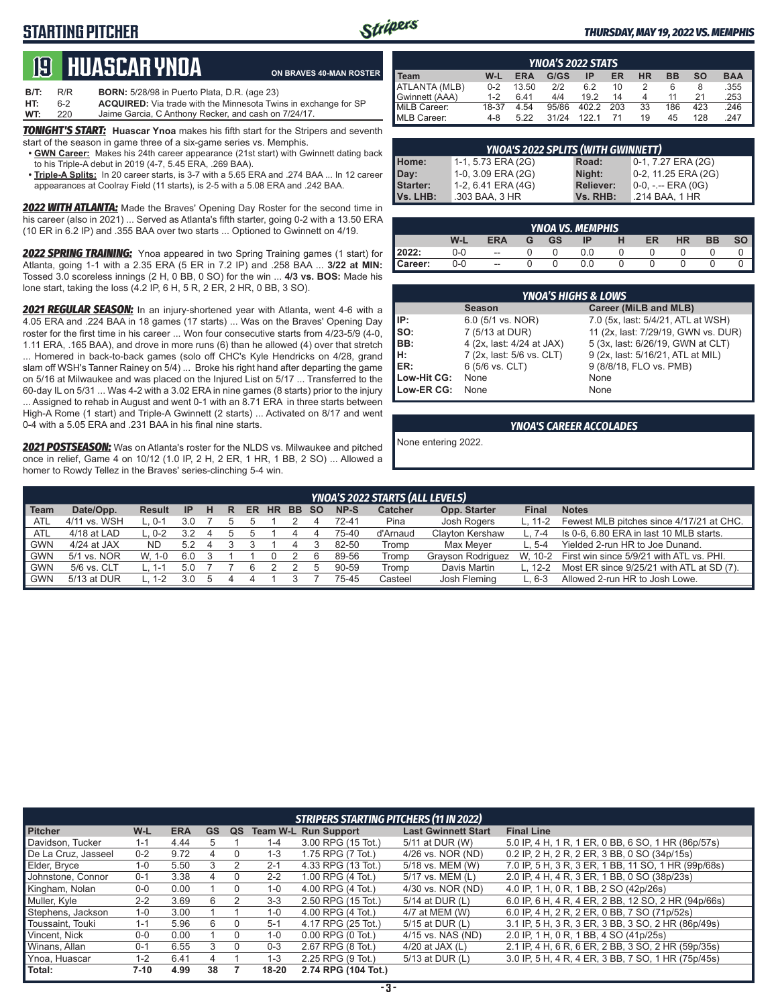### **STARTING PITCHER**



#### *THURSDAY, MAY 19, 2022 VS. MEMPHIS*

# **19****Huascar ynoa**

**ON BRAVES 40-MAN ROSTER**

**B/T:** R/R **BORN:** 5/28/98 in Puerto Plata, D.R. (age 23)<br>**HT:** 6-2 **ACQUIRED:** Via trade with the Minnesota Twi **HT:** 6-2 **ACQUIRED:** Via trade with the Minnesota Twins in exchange for SP Jaime Garcia, C Anthony Recker, and cash on 7/24/17.

*TONIGHT'S START:* **Huascar Ynoa** makes his fifth start for the Stripers and seventh start of the season in game three of a six-game series vs. Memphis.

- **• GWN Career:** Makes his 24th career appearance (21st start) with Gwinnett dating back to his Triple-A debut in 2019 (4-7, 5.45 ERA, .269 BAA).
- **• Triple-A Splits:** In 20 career starts, is 3-7 with a 5.65 ERA and .274 BAA ... In 12 career appearances at Coolray Field (11 starts), is 2-5 with a 5.08 ERA and .242 BAA.

*2022 WITH ATLANTA:* Made the Braves' Opening Day Roster for the second time in his career (also in 2021) ... Served as Atlanta's fifth starter, going 0-2 with a 13.50 ERA (10 ER in 6.2 IP) and .355 BAA over two starts ... Optioned to Gwinnett on 4/19.

*2022 SPRING TRAINING:* Ynoa appeared in two Spring Training games (1 start) for Atlanta, going 1-1 with a 2.35 ERA (5 ER in 7.2 IP) and .258 BAA ... **3/22 at MIN:** Tossed 3.0 scoreless innings (2 H, 0 BB, 0 SO) for the win ... **4/3 vs. BOS:** Made his lone start, taking the loss (4.2 IP, 6 H, 5 R, 2 ER, 2 HR, 0 BB, 3 SO).

*2021 REGULAR SEASON:* In an injury-shortened year with Atlanta, went 4-6 with a 4.05 ERA and .224 BAA in 18 games (17 starts) ... Was on the Braves' Opening Day roster for the first time in his career ... Won four consecutive starts from 4/23-5/9 (4-0, 1.11 ERA, .165 BAA), and drove in more runs (6) than he allowed (4) over that stretch ... Homered in back-to-back games (solo off CHC's Kyle Hendricks on 4/28, grand slam off WSH's Tanner Rainey on 5/4) ... Broke his right hand after departing the game on 5/16 at Milwaukee and was placed on the Injured List on 5/17 ... Transferred to the 60-day IL on 5/31 ... Was 4-2 with a 3.02 ERA in nine games (8 starts) prior to the injury ... Assigned to rehab in August and went 0-1 with an 8.71 ERA in three starts between High-A Rome (1 start) and Triple-A Gwinnett (2 starts) ... Activated on 8/17 and went 0-4 with a 5.05 ERA and .231 BAA in his final nine starts.

*2021 POSTSEASON:* Was on Atlanta's roster for the NLDS vs. Milwaukee and pitched once in relief, Game 4 on 10/12 (1.0 IP, 2 H, 2 ER, 1 HR, 1 BB, 2 SO) ... Allowed a homer to Rowdy Tellez in the Braves' series-clinching 5-4 win.

| <b>YNOA'S 2022 STATS</b> |         |            |       |       |     |           |     |     |            |
|--------------------------|---------|------------|-------|-------|-----|-----------|-----|-----|------------|
| <b>I</b> Team            | W-L     | <b>ERA</b> | G/GS  | ΙP    | ER  | <b>HR</b> | BB  | so  | <b>BAA</b> |
| ATLANTA (MLB)            | $0 - 2$ | 13.50      | 212   | 6.2   | 10  |           | 6   |     | .355       |
| Gwinnett (AAA)           | $1 - 2$ | 641        | 4/4   | 19.2  | 14  |           |     | 21  | .253       |
| MiLB Career:             | 18-37   | 4.54       | 95/86 | 402.2 | 203 | 33        | 186 | 423 | .246       |
| MLB Career:              | 4-8     | 5.22       | 31/24 | 1221  |     | 19        | 45  | 128 | 247        |

| <b>YNOA'S 2022 SPLITS (WITH GWINNETT)</b> |                    |                  |                       |  |  |  |
|-------------------------------------------|--------------------|------------------|-----------------------|--|--|--|
| Home:                                     | 1-1, 5.73 ERA (2G) | Road:            | 10-1, 7.27 ERA (2G)   |  |  |  |
| Day:                                      | 1-0, 3.09 ERA (2G) | Night:           | 0-2, 11.25 ERA (2G)   |  |  |  |
| Starter:                                  | 1-2, 6.41 ERA (4G) | <b>Reliever:</b> | $0-0, - -$ ERA $(0G)$ |  |  |  |
| <b>Vs. LHB:</b>                           | .303 BAA, 3 HR     | Vs. RHB:         | .214 BAA, 1 HR        |  |  |  |

|         | YNOA VS. MEMPHIS |                          |   |           |     |  |    |           |           |  |  |  |
|---------|------------------|--------------------------|---|-----------|-----|--|----|-----------|-----------|--|--|--|
|         | W-L              | <b>FRA</b>               | G | <b>GS</b> | IE  |  | ER | <b>HR</b> | <b>BB</b> |  |  |  |
| 2022:   | ጋ-0              | $\overline{\phantom{a}}$ |   |           |     |  |    |           |           |  |  |  |
| Career: | 0-0              | $\sim$                   |   |           | 0.0 |  |    |           |           |  |  |  |

|             | <b>YNOA'S HIGHS &amp; LOWS</b> |                                     |  |  |  |  |  |  |  |  |  |
|-------------|--------------------------------|-------------------------------------|--|--|--|--|--|--|--|--|--|
|             | <b>Season</b>                  | Career (MiLB and MLB)               |  |  |  |  |  |  |  |  |  |
| IP:         | 6.0 (5/1 vs. NOR)              | 7.0 (5x, last: 5/4/21, ATL at WSH)  |  |  |  |  |  |  |  |  |  |
| lso:        | 7 (5/13 at DUR)                | 11 (2x, last: 7/29/19, GWN vs. DUR) |  |  |  |  |  |  |  |  |  |
| IBB:        | 4 (2x, last: 4/24 at JAX)      | 5 (3x, last: 6/26/19, GWN at CLT)   |  |  |  |  |  |  |  |  |  |
| Н:          | 7 (2x, last: 5/6 vs. CLT)      | 9 (2x, last: 5/16/21, ATL at MIL)   |  |  |  |  |  |  |  |  |  |
| ER:         | 6 (5/6 vs. CLT)                | 9 (8/8/18, FLO vs. PMB)             |  |  |  |  |  |  |  |  |  |
| Low-Hit CG: | None                           | None                                |  |  |  |  |  |  |  |  |  |
| Low-ER CG:  | None                           | None                                |  |  |  |  |  |  |  |  |  |

*YNOA'S CAREER ACCOLADES* None entering 2022.

|             | <b>YNOA'S 2022 STARTS (ALL LEVELS)</b> |            |           |   |   |     |           |     |           |       |                |                   |              |                                           |
|-------------|----------------------------------------|------------|-----------|---|---|-----|-----------|-----|-----------|-------|----------------|-------------------|--------------|-------------------------------------------|
| <b>Team</b> | Date/Opp.                              | Result     | <b>IP</b> | н | R | ER. | <b>HR</b> | BB. | <b>SO</b> | NP-S  | <b>Catcher</b> | Opp. Starter      | <b>Final</b> | <b>Notes</b>                              |
| ATL         | 4/11 vs. WSH                           | 0-1        | 3.0       |   |   |     |           |     |           | 72-41 | Pina           | Josh Rogers       | L. $11-2$    | Fewest MLB pitches since 4/17/21 at CHC.  |
| ATL         | 4/18 at LAD                            | 0-2        | 3.2       |   |   |     |           |     |           | 75-40 | d'Arnaud       | Clavton Kershaw   | $L.7-4$      | Is 0-6, 6.80 ERA in last 10 MLB starts.   |
| <b>GWN</b>  | 4/24 at JAX                            | <b>ND</b>  | 5.2       | 4 |   |     |           |     |           | 82-50 | Tromp          | Max Meyer         | $L.5 - 4$    | Yielded 2-run HR to Joe Dunand.           |
| <b>GWN</b>  | 5/1 vs. NOR                            | W. 1-0     | 6.0       |   |   |     |           |     |           | 89-56 | Tromp          | Grayson Rodriguez | W. 10-2      | First win since 5/9/21 with ATL vs. PHI.  |
| <b>GWN</b>  | 5/6 vs. CLT                            | $L. 1 - 1$ | 5.0       |   |   |     |           |     |           | 90-59 | Tromp          | Davis Martin      | L. 12-2      | Most ER since 9/25/21 with ATL at SD (7). |
| <b>GWN</b>  | 5/13 at DUR                            | . 1-2      |           |   |   |     |           |     |           | 75-45 | Casteel        | Josh Fleming      | $L.6-3$      | Allowed 2-run HR to Josh Lowe.            |

|                     |         |            |           |    |           | <b>STRIPERS STARTING PITCHERS (11 IN 2022)</b> |                            |                                                     |
|---------------------|---------|------------|-----------|----|-----------|------------------------------------------------|----------------------------|-----------------------------------------------------|
| <b>Pitcher</b>      | W-L     | <b>ERA</b> | <b>GS</b> | QS |           | <b>Team W-L Run Support</b>                    | <b>Last Gwinnett Start</b> | <b>Final Line</b>                                   |
| Davidson, Tucker    | $1 - 1$ | 4.44       |           |    | $1 - 4$   | 3.00 RPG (15 Tot.)                             | 5/11 at DUR (W)            | 5.0 IP, 4 H, 1 R, 1 ER, 0 BB, 6 SO, 1 HR (86p/57s)  |
| De La Cruz. Jasseel | $0 - 2$ | 9.72       | 4         |    | $1 - 3$   | 1.75 RPG (7 Tot.)                              | 4/26 vs. NOR (ND)          | 0.2 IP, 2 H, 2 R, 2 ER, 3 BB, 0 SO (34p/15s)        |
| Elder, Bryce        | 1-0     | 5.50       | 3         |    | $2 - 1$   | 4.33 RPG (13 Tot.)                             | 5/18 vs. MEM (W)           | 7.0 IP, 5 H, 3 R, 3 ER, 1 BB, 11 SO, 1 HR (99p/68s) |
| Johnstone, Connor   | $0 - 1$ | 3.38       | 4         |    | $2 - 2$   | 1.00 RPG (4 Tot.)                              | 5/17 vs. MEM (L)           | 2.0 IP, 4 H, 4 R, 3 ER, 1 BB, 0 SO (38p/23s)        |
| Kingham, Nolan      | $0 - 0$ | 0.00       |           |    | $1 - 0$   | 4.00 RPG (4 Tot.)                              | 4/30 vs. NOR (ND)          | 4.0 IP, 1 H, 0 R, 1 BB, 2 SO (42p/26s)              |
| Muller, Kyle        | $2 - 2$ | 3.69       | 6         |    | $3 - 3$   | 2.50 RPG (15 Tot.)                             | 5/14 at DUR (L)            | 6.0 IP, 6 H, 4 R, 4 ER, 2 BB, 12 SO, 2 HR (94p/66s) |
| Stephens, Jackson   | $1 - 0$ | 3.00       |           |    | $1 - 0$   | 4.00 RPG (4 Tot.)                              | 4/7 at MEM (W)             | 6.0 IP, 4 H, 2 R, 2 ER, 0 BB, 7 SO (71p/52s)        |
| Toussaint, Touki    | $1 - 1$ | 5.96       | 6         |    | $5 - 1$   | 4.17 RPG (25 Tot.)                             | 5/15 at DUR (L)            | 3.1 IP, 5 H, 3 R, 3 ER, 3 BB, 3 SO, 2 HR (86p/49s)  |
| Vincent. Nick       | $0 - 0$ | 0.00       |           |    | $1 - 0$   | $0.00$ RPG $(0$ Tot.)                          | 4/15 vs. NAS (ND)          | 2.0 IP, 1 H, 0 R, 1 BB, 4 SO (41p/25s)              |
| Winans, Allan       | $0 - 1$ | 6.55       | 3         |    | $0 - 3$   | 2.67 RPG (8 Tot.)                              | 4/20 at JAX $(L)$          | 2.1 IP, 4 H, 6 R, 6 ER, 2 BB, 3 SO, 2 HR (59p/35s)  |
| Ynoa, Huascar       | $1 - 2$ | 6.41       | 4         |    | $1 - 3$   | 2.25 RPG (9 Tot.)                              | 5/13 at DUR (L)            | 3.0 IP, 5 H, 4 R, 4 ER, 3 BB, 7 SO, 1 HR (75p/45s)  |
| Total:              | 7-10    | 4.99       | 38        |    | $18 - 20$ | 2.74 RPG (104 Tot.)                            |                            |                                                     |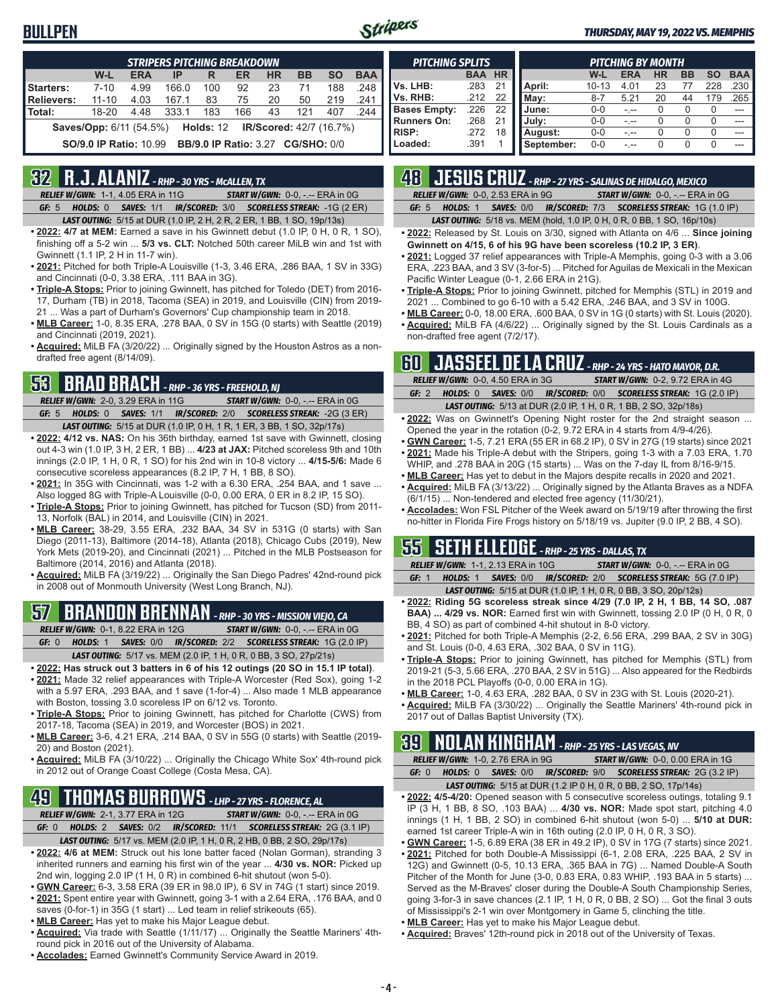### **BULLPEN**



#### *THURSDAY, MAY 19, 2022 VS. MEMPHIS*

|                   | <b>STRIPERS PITCHING BREAKDOWN</b>                        |            |       |                                          |     |           |           |           |            |  |  |
|-------------------|-----------------------------------------------------------|------------|-------|------------------------------------------|-----|-----------|-----------|-----------|------------|--|--|
|                   | W-L                                                       | <b>ERA</b> | IP    | R                                        | ER  | <b>HR</b> | <b>BB</b> | <b>SO</b> | <b>BAA</b> |  |  |
| Starters:         | $7 - 10$                                                  | 4.99       | 166.0 | 100                                      | 92  | 23        | 71        | 188       | .248       |  |  |
| <b>Relievers:</b> | $11 - 10$                                                 | 4.03       | 167.1 | 83                                       | 75  | 20        | 50        | 219       | .241       |  |  |
| Total:            | 18-20                                                     | 4.48       | 333.1 | 183                                      | 166 | 43        | 121       | 407       | 244        |  |  |
|                   | Saves/Opp: 6/11 (54.5%) Holds: 12 IR/Scored: 42/7 (16.7%) |            |       |                                          |     |           |           |           |            |  |  |
|                   | <b>SO/9.0 IP Ratio: 10.99</b>                             |            |       | <b>BB/9.0 IP Ratio: 3.27 CG/SHO: 0/0</b> |     |           |           |           |            |  |  |

### **32 R.J. ALANIZ** *- RHP - 30 YRS - McALLEN, TX*

*RELIEF W/GWN:*1-1, 4.05 ERA in 11G *START W/GWN:*0-0, -.-- ERA in 0G *GF:*5 *HOLDS:*0 *SAVES:*1/1 *IR/SCORED:*3/0 *SCORELESS STREAK:*-1G (2 ER)

- *LAST OUTING:*5/15 at DUR (1.0 IP, 2 H, 2 R, 2 ER, 1 BB, 1 SO, 19p/13s)
- **• 2022: 4/7 at MEM:** Earned a save in his Gwinnett debut (1.0 IP, 0 H, 0 R, 1 SO), finishing off a 5-2 win ... **5/3 vs. CLT:** Notched 50th career MiLB win and 1st with Gwinnett (1.1 IP, 2 H in 11-7 win).
- **• 2021:** Pitched for both Triple-A Louisville (1-3, 3.46 ERA, .286 BAA, 1 SV in 33G) and Cincinnati (0-0, 3.38 ERA, .111 BAA in 3G).
- **• Triple-A Stops:** Prior to joining Gwinnett, has pitched for Toledo (DET) from 2016- 17, Durham (TB) in 2018, Tacoma (SEA) in 2019, and Louisville (CIN) from 2019- 21 ... Was a part of Durham's Governors' Cup championship team in 2018.
- **• MLB Career:** 1-0, 8.35 ERA, .278 BAA, 0 SV in 15G (0 starts) with Seattle (2019) and Cincinnati (2019, 2021).
- **• Acquired:** MiLB FA (3/20/22) ... Originally signed by the Houston Astros as a nondrafted free agent (8/14/09).

### **53 BRAD BRACH** *- RHP - 36 YRS - FREEHOLD, NJ*

*RELIEF W/GWN:*2-0, 3.29 ERA in 11G *START W/GWN:*0-0, -.-- ERA in 0G *GF:*5 *HOLDS:*0 *SAVES:*1/1 *IR/SCORED:*2/0 *SCORELESS STREAK:*-2G (3 ER) *LAST OUTING:*5/15 at DUR (1.0 IP, 0 H, 1 R, 1 ER, 3 BB, 1 SO, 32p/17s)

- **• 2022: 4/12 vs. NAS:** On his 36th birthday, earned 1st save with Gwinnett, closing out 4-3 win (1.0 IP, 3 H, 2 ER, 1 BB) ... **4/23 at JAX:** Pitched scoreless 9th and 10th innings (2.0 IP, 1 H, 0 R, 1 SO) for his 2nd win in 10-8 victory ... **4/15-5/6:** Made 6 consecutive scoreless appearances (8.2 IP, 7 H, 1 BB, 8 SO).
- **• 2021:** In 35G with Cincinnati, was 1-2 with a 6.30 ERA, .254 BAA, and 1 save ... Also logged 8G with Triple-A Louisville (0-0, 0.00 ERA, 0 ER in 8.2 IP, 15 SO).
- **• Triple-A Stops:** Prior to joining Gwinnett, has pitched for Tucson (SD) from 2011- 13, Norfolk (BAL) in 2014, and Louisville (CIN) in 2021.
- **• MLB Career:** 38-29, 3.55 ERA, .232 BAA, 34 SV in 531G (0 starts) with San Diego (2011-13), Baltimore (2014-18), Atlanta (2018), Chicago Cubs (2019), New York Mets (2019-20), and Cincinnati (2021) ... Pitched in the MLB Postseason for Baltimore (2014, 2016) and Atlanta (2018).
- **• Acquired:** MiLB FA (3/19/22) ... Originally the San Diego Padres' 42nd-round pick in 2008 out of Monmouth University (West Long Branch, NJ).

### **57 BRANDON BRENNAN** *- RHP - 30 YRS - MISSION VIEJO, CA*

*RELIEF W/GWN:*0-1, 8.22 ERA in 12G *START W/GWN:*0-0, -.-- ERA in 0G *GF:*0 *HOLDS:*1 *SAVES:*0/0 *IR/SCORED:*2/2 *SCORELESS STREAK:*1G (2.0 IP)

- *LAST OUTING:*5/17 vs. MEM (2.0 IP, 1 H, 0 R, 0 BB, 3 SO, 27p/21s)
- **• 2022: Has struck out 3 batters in 6 of his 12 outings (20 SO in 15.1 IP total)**. **• 2021:** Made 32 relief appearances with Triple-A Worcester (Red Sox), going 1-2
- with a 5.97 ERA, .293 BAA, and 1 save (1-for-4) ... Also made 1 MLB appearance with Boston, tossing 3.0 scoreless IP on 6/12 vs. Toronto.
- **• Triple-A Stops:** Prior to joining Gwinnett, has pitched for Charlotte (CWS) from 2017-18, Tacoma (SEA) in 2019, and Worcester (BOS) in 2021.
- **• MLB Career:** 3-6, 4.21 ERA, .214 BAA, 0 SV in 55G (0 starts) with Seattle (2019- 20) and Boston (2021).
- **• Acquired:** MiLB FA (3/10/22) ... Originally the Chicago White Sox' 4th-round pick in 2012 out of Orange Coast College (Costa Mesa, CA).

### **49 THOMAS BURROWS** *- LHP - 27 YRS - FLORENCE, AL*

*RELIEF W/GWN:*2-1, 3.77 ERA in 12G *START W/GWN:*0-0, -.-- ERA in 0G *GF:*0 *HOLDS:*2 *SAVES:*0/2 *IR/SCORED:*11/1 *SCORELESS STREAK:*2G (3.1 IP)

- *LAST OUTING:*5/17 vs. MEM (2.0 IP, 1 H, 0 R, 2 HB, 0 BB, 2 SO, 29p/17s)
- **• 2022: 4/6 at MEM:** Struck out his lone batter faced (Nolan Gorman), stranding 3 inherited runners and earning his first win of the year ... **4/30 vs. NOR:** Picked up 2nd win, logging 2.0 IP (1 H, 0 R) in combined 6-hit shutout (won 5-0).
- **• GWN Career:** 6-3, 3.58 ERA (39 ER in 98.0 IP), 6 SV in 74G (1 start) since 2019.
- **• 2021:** Spent entire year with Gwinnett, going 3-1 with a 2.64 ERA, .176 BAA, and 0 saves (0-for-1) in 35G (1 start) ... Led team in relief strikeouts (65).
- **• MLB Career:** Has yet to make his Major League debut.
- **• Acquired:** Via trade with Seattle (1/11/17) ... Originally the Seattle Mariners' 4thround pick in 2016 out of the University of Alabama.
- **• Accolades:** Earned Gwinnett's Community Service Award in 2019.

| <b>PITCHING SPLITS</b> |            |           |            | <b>PITCHING BY MONTH</b> |            |           |           |          |            |  |  |  |
|------------------------|------------|-----------|------------|--------------------------|------------|-----------|-----------|----------|------------|--|--|--|
|                        | <b>BAA</b> | <b>HR</b> |            | W-L                      | <b>ERA</b> | <b>HR</b> | <b>BB</b> | SΟ       | <b>BAA</b> |  |  |  |
| Vs. LHB:               | .283       | 21        | April:     | $10 - 13$                | 4.01       | 23        | 77        | 228      | .230       |  |  |  |
| Vs. RHB:               | .212       | 22        | May:       | $8 - 7$                  | 5.21       | 20        | 44        | 179      | .265       |  |  |  |
| <b>Bases Empty:</b>    | .226       | 22        | June:      | $0 - 0$                  |            | 0         | $\Omega$  | 0        |            |  |  |  |
| <b>Runners On:</b>     | .268       | 21        | July:      | $0 - 0$                  | -.--       | 0         |           | O        | ---        |  |  |  |
| <b>RISP:</b>           | .272       | 18        | August:    | $0 - 0$                  | - --       | 0         |           | $\Omega$ |            |  |  |  |
| Loaded:                | .391       |           | September: | $0 - 0$                  |            | 0         | O         | $\Omega$ |            |  |  |  |

### **48 JESUS CRUZ** *- RHP - 27 YRS - SALINAS DE HIDALGO, MEXICO*

*RELIEF W/GWN:*0-0, 2.53 ERA in 9G *START W/GWN:*0-0, -.-- ERA in 0G

*GF:*5 *HOLDS:*1 *SAVES:*0/0 *IR/SCORED:*7/3 *SCORELESS STREAK:*1G (1.0 IP) *LAST OUTING:*5/18 vs. MEM (hold, 1.0 IP, 0 H, 0 R, 0 BB, 1 SO, 16p/10s)

- **• 2022:** Released by St. Louis on 3/30, signed with Atlanta on 4/6 ... **Since joining Gwinnett on 4/15, 6 of his 9G have been scoreless (10.2 IP, 3 ER)**.
- **• 2021:** Logged 37 relief appearances with Triple-A Memphis, going 0-3 with a 3.06 ERA, .223 BAA, and 3 SV (3-for-5) ... Pitched for Aguilas de Mexicali in the Mexican Pacific Winter League (0-1, 2.66 ERA in 21G).
- **• Triple-A Stops:** Prior to joining Gwinnett, pitched for Memphis (STL) in 2019 and 2021 ... Combined to go 6-10 with a 5.42 ERA, .246 BAA, and 3 SV in 100G.
- **• MLB Career:** 0-0, 18.00 ERA, .600 BAA, 0 SV in 1G (0 starts) with St. Louis (2020). **• Acquired:** MiLB FA (4/6/22) ... Originally signed by the St. Louis Cardinals as a
- non-drafted free agent (7/2/17).

### **60 JASSEEL DE LA CRUZ** *- RHP - 24 YRS - HATO MAYOR, D.R.*

| <b>RELIEF W/GWN: 0-0, 4.50 ERA in 3G</b>                                | <b>START W/GWN: 0-2, 9.72 ERA in 4G</b>                                |
|-------------------------------------------------------------------------|------------------------------------------------------------------------|
|                                                                         | GF: 2 HOLDS: 0 SAVES: 0/0 IR/SCORED: 0/0 SCORELESS STREAK: 1G (2.0 IP) |
| <b>LAST OUTING:</b> 5/13 at DUR (2.0 IP, 1 H, 0 R, 1 BB, 2 SO, 32p/18s) |                                                                        |

- **• 2022:** Was on Gwinnett's Opening Night roster for the 2nd straight season ... Opened the year in the rotation (0-2, 9.72 ERA in 4 starts from 4/9-4/26).
- **• GWN Career:** 1-5, 7.21 ERA (55 ER in 68.2 IP), 0 SV in 27G (19 starts) since 2021 **• 2021:** Made his Triple-A debut with the Stripers, going 1-3 with a 7.03 ERA, 1.70
- WHIP, and .278 BAA in 20G (15 starts) ... Was on the 7-day IL from 8/16-9/15. **• MLB Career:** Has yet to debut in the Majors despite recalls in 2020 and 2021.
- **• Acquired:** MiLB FA (3/13/22) ... Originally signed by the Atlanta Braves as a NDFA (6/1/15) ... Non-tendered and elected free agency (11/30/21).
- **• Accolades:** Won FSL Pitcher of the Week award on 5/19/19 after throwing the first no-hitter in Florida Fire Frogs history on 5/18/19 vs. Jupiter (9.0 IP, 2 BB, 4 SO).

### **55 SETH ELLEDGE** *- RHP - 25 YRS - DALLAS, TX*

*RELIEF W/GWN:*1-1, 2.13 ERA in 10G *START W/GWN:*0-0, -.-- ERA in 0G *GF:*1 *HOLDS:*1 *SAVES:*0/0 *IR/SCORED:*2/0 *SCORELESS STREAK:*5G (7.0 IP) *LAST OUTING:*5/15 at DUR (1.0 IP, 1 H, 0 R, 0 BB, 3 SO, 20p/12s)

- **• 2022: Riding 5G scoreless streak since 4/29 (7.0 IP, 2 H, 1 BB, 14 SO, .087 BAA) ... 4/29 vs. NOR:** Earned first win with Gwinnett, tossing 2.0 IP (0 H, 0 R, 0 BB, 4 SO) as part of combined 4-hit shutout in 8-0 victory.
- **• 2021:** Pitched for both Triple-A Memphis (2-2, 6.56 ERA, .299 BAA, 2 SV in 30G) and St. Louis (0-0, 4.63 ERA, .302 BAA, 0 SV in 11G).
- **• Triple-A Stops:** Prior to joining Gwinnett, has pitched for Memphis (STL) from 2019-21 (5-3, 5.66 ERA, .270 BAA, 2 SV in 51G) ... Also appeared for the Redbirds in the 2018 PCL Playoffs (0-0, 0.00 ERA in 1G).
- **• MLB Career:** 1-0, 4.63 ERA, .282 BAA, 0 SV in 23G with St. Louis (2020-21).
- **• Acquired:** MiLB FA (3/30/22) ... Originally the Seattle Mariners' 4th-round pick in 2017 out of Dallas Baptist University (TX).

### **39 NOLAN KINGHAM** *- RHP - 25 YRS - LAS VEGAS, NV*

|       | <b>RELIEF W/GWN: 1-0, 2.76 ERA in 9G</b> | <b>START W/GWN: 0-0, 0.00 ERA in 1G</b>                                  |
|-------|------------------------------------------|--------------------------------------------------------------------------|
| GF: 0 |                                          | <b>HOLDS: 0 SAVES: 0/0 IR/SCORED: 9/0 SCORELESS STREAK: 2G (3.2 IP)</b>  |
|       |                                          | <b>LAST OUTING:</b> $5/15$ at DUR (1.2 IP 0 H, 0 R, 0 BB, 2 SO, 17p/14s) |

- **• 2022: 4/5-4/20:** Opened season with 5 consecutive scoreless outings, totaling 9.1 IP (3 H, 1 BB, 8 SO, .103 BAA) ... **4/30 vs. NOR:** Made spot start, pitching 4.0 innings (1 H, 1 BB, 2 SO) in combined 6-hit shutout (won 5-0) ... **5/10 at DUR:** earned 1st career Triple-A win in 16th outing (2.0 IP, 0 H, 0 R, 3 SO).
- **• GWN Career:** 1-5, 6.89 ERA (38 ER in 49.2 IP), 0 SV in 17G (7 starts) since 2021. **• 2021:** Pitched for both Double-A Mississippi (6-1, 2.08 ERA, .225 BAA, 2 SV in
- 12G) and Gwinnett (0-5, 10.13 ERA, .365 BAA in 7G) ... Named Double-A South Pitcher of the Month for June (3-0, 0.83 ERA, 0.83 WHIP, .193 BAA in 5 starts) ... Served as the M-Braves' closer during the Double-A South Championship Series, going 3-for-3 in save chances (2.1 IP, 1 H, 0 R, 0 BB, 2 SO) ... Got the final 3 outs of Mississippi's 2-1 win over Montgomery in Game 5, clinching the title.
- **• MLB Career:** Has yet to make his Major League debut.
- **• Acquired:** Braves' 12th-round pick in 2018 out of the University of Texas.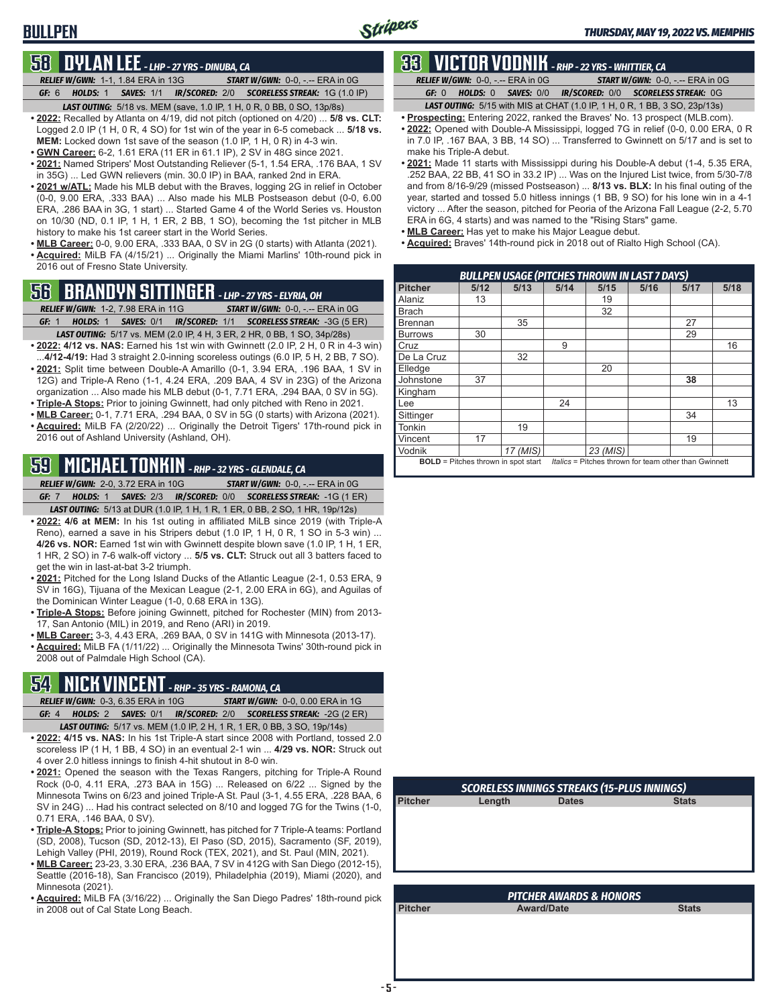### **BULLPEN**

### **58 DYLAN LEE** *- LHP - 27 YRS - DINUBA, CA*

*RELIEF W/GWN:*1-1, 1.84 ERA in 13G *START W/GWN:*0-0, -.-- ERA in 0G *GF:*6 *HOLDS:*1 *SAVES:*1/1 *IR/SCORED:*2/0 *SCORELESS STREAK:*1G (1.0 IP)

- *LAST OUTING:*5/18 vs. MEM (save, 1.0 IP, 1 H, 0 R, 0 BB, 0 SO, 13p/8s) **• 2022:** Recalled by Atlanta on 4/19, did not pitch (optioned on 4/20) ... **5/8 vs. CLT:** Logged 2.0 IP (1 H, 0 R, 4 SO) for 1st win of the year in 6-5 comeback ... **5/18 vs. MEM:** Locked down 1st save of the season (1.0 IP, 1 H, 0 R) in 4-3 win.
- **• GWN Career:** 6-2, 1.61 ERA (11 ER in 61.1 IP), 2 SV in 48G since 2021.
- **• 2021:** Named Stripers' Most Outstanding Reliever (5-1, 1.54 ERA, .176 BAA, 1 SV in 35G) ... Led GWN relievers (min. 30.0 IP) in BAA, ranked 2nd in ERA.
- **• 2021 w/ATL:** Made his MLB debut with the Braves, logging 2G in relief in October (0-0, 9.00 ERA, .333 BAA) ... Also made his MLB Postseason debut (0-0, 6.00 ERA, .286 BAA in 3G, 1 start) ... Started Game 4 of the World Series vs. Houston on 10/30 (ND, 0.1 IP, 1 H, 1 ER, 2 BB, 1 SO), becoming the 1st pitcher in MLB history to make his 1st career start in the World Series.
- **• MLB Career:** 0-0, 9.00 ERA, .333 BAA, 0 SV in 2G (0 starts) with Atlanta (2021). **• Acquired:** MiLB FA (4/15/21) ... Originally the Miami Marlins' 10th-round pick in 2016 out of Fresno State University.

### **56 BRANDYN SITTINGER** *- LHP - 27 YRS - ELYRIA, OH*

- *RELIEF W/GWN:*1-2, 7.98 ERA in 11G *START W/GWN:*0-0, -.-- ERA in 0G *GF:*1 *HOLDS:*1 *SAVES:*0/1 *IR/SCORED:*1/1 *SCORELESS STREAK:*-3G (5 ER)
- *LAST OUTING:*5/17 vs. MEM (2.0 IP, 4 H, 3 ER, 2 HR, 0 BB, 1 SO, 34p/28s) **• 2022: 4/12 vs. NAS:** Earned his 1st win with Gwinnett (2.0 IP, 2 H, 0 R in 4-3 win)
- ...**4/12-4/19:** Had 3 straight 2.0-inning scoreless outings (6.0 IP, 5 H, 2 BB, 7 SO). **• 2021:** Split time between Double-A Amarillo (0-1, 3.94 ERA, .196 BAA, 1 SV in 12G) and Triple-A Reno (1-1, 4.24 ERA, .209 BAA, 4 SV in 23G) of the Arizona organization ... Also made his MLB debut (0-1, 7.71 ERA, .294 BAA, 0 SV in 5G).
- **• Triple-A Stops:** Prior to joining Gwinnett, had only pitched with Reno in 2021.
- **• MLB Career:** 0-1, 7.71 ERA, .294 BAA, 0 SV in 5G (0 starts) with Arizona (2021). **• Acquired:** MiLB FA (2/20/22) ... Originally the Detroit Tigers' 17th-round pick in 2016 out of Ashland University (Ashland, OH).

## **59 MICHAEL TONKIN** *- RHP - 32 YRS - GLENDALE, CA*

*RELIEF W/GWN:*2-0, 3.72 ERA in 10G *START W/GWN:*0-0, -.-- ERA in 0G *GF:*7 *HOLDS:*1 *SAVES:*2/3 *IR/SCORED:*0/0 *SCORELESS STREAK:*-1G (1 ER)

*LAST OUTING:*5/13 at DUR (1.0 IP, 1 H, 1 R, 1 ER, 0 BB, 2 SO, 1 HR, 19p/12s)

- **• 2022: 4/6 at MEM:** In his 1st outing in affiliated MiLB since 2019 (with Triple-A Reno), earned a save in his Stripers debut (1.0 IP, 1 H, 0 R, 1 SO in 5-3 win) ... **4/26 vs. NOR:** Earned 1st win with Gwinnett despite blown save (1.0 IP, 1 H, 1 ER, 1 HR, 2 SO) in 7-6 walk-off victory ... **5/5 vs. CLT:** Struck out all 3 batters faced to get the win in last-at-bat 3-2 triumph.
- **• 2021:** Pitched for the Long Island Ducks of the Atlantic League (2-1, 0.53 ERA, 9 SV in 16G), Tijuana of the Mexican League (2-1, 2.00 ERA in 6G), and Aguilas of the Dominican Winter League (1-0, 0.68 ERA in 13G).
- **• Triple-A Stops:** Before joining Gwinnett, pitched for Rochester (MIN) from 2013- 17, San Antonio (MIL) in 2019, and Reno (ARI) in 2019.
- **• MLB Career:** 3-3, 4.43 ERA, .269 BAA, 0 SV in 141G with Minnesota (2013-17).
- **• Acquired:** MiLB FA (1/11/22) ... Originally the Minnesota Twins' 30th-round pick in 2008 out of Palmdale High School (CA).

### **54 NICK VINCENT** *- RHP - 35 YRS - RAMONA, CA*

- *RELIEF W/GWN:*0-3, 6.35 ERA in 10G *START W/GWN:*0-0, 0.00 ERA in 1G *GF:*4 *HOLDS:*2 *SAVES:*0/1 *IR/SCORED:*2/0 *SCORELESS STREAK:*-2G (2 ER) *LAST OUTING:*5/17 vs. MEM (1.0 IP, 2 H, 1 R, 1 ER, 0 BB, 3 SO, 19p/14s)
- **• 2022: 4/15 vs. NAS:** In his 1st Triple-A start since 2008 with Portland, tossed 2.0 scoreless IP (1 H, 1 BB, 4 SO) in an eventual 2-1 win ... **4/29 vs. NOR:** Struck out 4 over 2.0 hitless innings to finish 4-hit shutout in 8-0 win.
- **• 2021:** Opened the season with the Texas Rangers, pitching for Triple-A Round Rock (0-0, 4.11 ERA, .273 BAA in 15G) ... Released on 6/22 ... Signed by the Minnesota Twins on 6/23 and joined Triple-A St. Paul (3-1, 4.55 ERA, .228 BAA, 6 SV in 24G) ... Had his contract selected on 8/10 and logged 7G for the Twins (1-0, 0.71 ERA, .146 BAA, 0 SV).
- **• Triple-A Stops:** Prior to joining Gwinnett, has pitched for 7 Triple-A teams: Portland (SD, 2008), Tucson (SD, 2012-13), El Paso (SD, 2015), Sacramento (SF, 2019), Lehigh Valley (PHI, 2019), Round Rock (TEX, 2021), and St. Paul (MIN, 2021).
- **• MLB Career:** 23-23, 3.30 ERA, .236 BAA, 7 SV in 412G with San Diego (2012-15), Seattle (2016-18), San Francisco (2019), Philadelphia (2019), Miami (2020), and Minnesota (2021).
- **• Acquired:** MiLB FA (3/16/22) ... Originally the San Diego Padres' 18th-round pick in 2008 out of Cal State Long Beach.

### **33 VICTOR VODNIK** *- RHP - 22 YRS - WHITTIER, CA*

*RELIEF W/GWN:*0-0, -.-- ERA in 0G *START W/GWN:*0-0, -.-- ERA in 0G *GF:*0 *HOLDS:*0 *SAVES:*0/0 *IR/SCORED:*0/0 *SCORELESS STREAK:*0G

- *LAST OUTING:*5/15 with MIS at CHAT (1.0 IP, 1 H, 0 R, 1 BB, 3 SO, 23p/13s) **• Prospecting:** Entering 2022, ranked the Braves' No. 13 prospect (MLB.com).
- **• 2022:** Opened with Double-A Mississippi, logged 7G in relief (0-0, 0.00 ERA, 0 R in 7.0 IP, .167 BAA, 3 BB, 14 SO) ... Transferred to Gwinnett on 5/17 and is set to make his Triple-A debut.
- **• 2021:** Made 11 starts with Mississippi during his Double-A debut (1-4, 5.35 ERA, .252 BAA, 22 BB, 41 SO in 33.2 IP) ... Was on the Injured List twice, from 5/30-7/8 and from 8/16-9/29 (missed Postseason) ... **8/13 vs. BLX:** In his final outing of the year, started and tossed 5.0 hitless innings (1 BB, 9 SO) for his lone win in a 4-1 victory ... After the season, pitched for Peoria of the Arizona Fall League (2-2, 5.70 ERA in 6G, 4 starts) and was named to the "Rising Stars" game.
- **• MLB Career:** Has yet to make his Major League debut.
- **• Acquired:** Braves' 14th-round pick in 2018 out of Rialto High School (CA).

|                |      |                                            |      | <b>BULLPEN USAGE (PITCHES THROWN IN LAST 7 DAYS)</b>  |      |      |      |
|----------------|------|--------------------------------------------|------|-------------------------------------------------------|------|------|------|
| <b>Pitcher</b> | 5/12 | 5/13                                       | 5/14 | 5/15                                                  | 5/16 | 5/17 | 5/18 |
| Alaniz         | 13   |                                            |      | 19                                                    |      |      |      |
| <b>Brach</b>   |      |                                            |      | 32                                                    |      |      |      |
| Brennan        |      | 35                                         |      |                                                       |      | 27   |      |
| <b>Burrows</b> | 30   |                                            |      |                                                       |      | 29   |      |
| Cruz           |      |                                            | 9    |                                                       |      |      | 16   |
| De La Cruz     |      | 32                                         |      |                                                       |      |      |      |
| Elledge        |      |                                            |      | 20                                                    |      |      |      |
| Johnstone      | 37   |                                            |      |                                                       |      | 38   |      |
| Kingham        |      |                                            |      |                                                       |      |      |      |
| Lee            |      |                                            | 24   |                                                       |      |      | 13   |
| Sittinger      |      |                                            |      |                                                       |      | 34   |      |
| Tonkin         |      | 19                                         |      |                                                       |      |      |      |
| Vincent        | 17   |                                            |      |                                                       |      | 19   |      |
| Vodnik         |      | 17 (MIS)                                   |      | 23 (MIS)                                              |      |      |      |
|                |      | <b>BOLD</b> = Pitches thrown in spot start |      | Italics = Pitches thrown for team other than Gwinnett |      |      |      |

|                | <b>SCORELESS INNINGS STREAKS (15-PLUS INNINGS)</b> |              |              |  |  |  |  |  |  |  |  |  |
|----------------|----------------------------------------------------|--------------|--------------|--|--|--|--|--|--|--|--|--|
| <b>Pitcher</b> | Length                                             | <b>Dates</b> | <b>Stats</b> |  |  |  |  |  |  |  |  |  |
|                |                                                    |              |              |  |  |  |  |  |  |  |  |  |
|                |                                                    |              |              |  |  |  |  |  |  |  |  |  |
|                |                                                    |              |              |  |  |  |  |  |  |  |  |  |
|                |                                                    |              |              |  |  |  |  |  |  |  |  |  |
|                |                                                    |              |              |  |  |  |  |  |  |  |  |  |
|                |                                                    |              |              |  |  |  |  |  |  |  |  |  |
|                |                                                    |              |              |  |  |  |  |  |  |  |  |  |

| <b>PITCHER AWARDS &amp; HONORS</b> |                   |              |  |  |  |  |  |  |  |  |
|------------------------------------|-------------------|--------------|--|--|--|--|--|--|--|--|
| <b>Pitcher</b>                     | <b>Award/Date</b> | <b>Stats</b> |  |  |  |  |  |  |  |  |
|                                    |                   |              |  |  |  |  |  |  |  |  |
|                                    |                   |              |  |  |  |  |  |  |  |  |
|                                    |                   |              |  |  |  |  |  |  |  |  |
|                                    |                   |              |  |  |  |  |  |  |  |  |
|                                    |                   |              |  |  |  |  |  |  |  |  |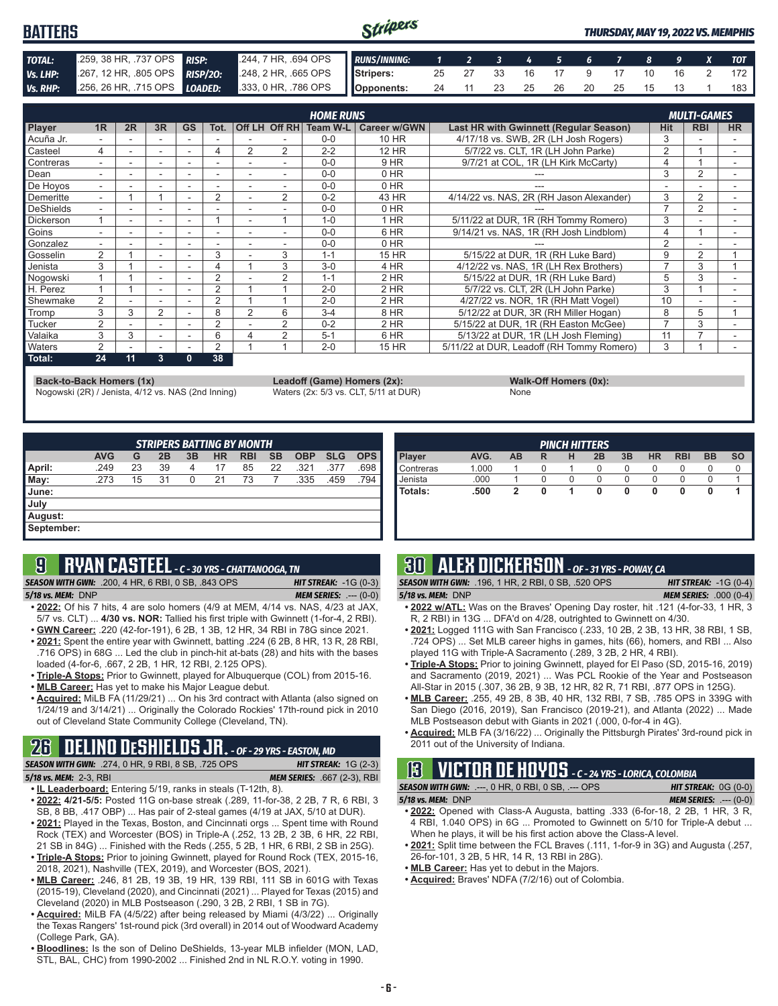#### Stripers **BATTERS** *THURSDAY, MAY 19, 2022 VS. MEMPHIS TOTAL:* .259, 38 HR, .737 OPS *RISP:* .244, 7 HR, .694 OPS *RUNS/INNING: 1 2 3 4 5 6 7 8 9 X TOT Vs. LHP:* .267, 12 HR, .805 OPS *RISP/2O:* .248, 2 HR, .665 OPS **Stripers:** 25 27 33 16 17 9 17 10 16 2 172 *Vs. RHP:* .256, 26 HR, .715 OPS *LOADED:* .333, 0 HR, .786 OPS **Opponents:** 24 11 23 25 26 20 25 15 13 1 183

|                  |                |    |                          |           |                |   |                | <b>HOME RUNS</b> |                     |                                           |                | <b>MULTI-GAMES</b> |           |
|------------------|----------------|----|--------------------------|-----------|----------------|---|----------------|------------------|---------------------|-------------------------------------------|----------------|--------------------|-----------|
| <b>Player</b>    | 1 <sub>R</sub> | 2R | 3R                       | <b>GS</b> | Tot.           |   | Off LH Off RH  | Team W-L         | <b>Career w/GWN</b> | Last HR with Gwinnett (Regular Season)    | <b>Hit</b>     | <b>RBI</b>         | <b>HR</b> |
| Acuña Jr.        |                |    |                          |           |                |   |                | $0 - 0$          | 10 HR               | 4/17/18 vs. SWB, 2R (LH Josh Rogers)      | 3              |                    |           |
| Casteel          | 4              |    | ۰                        |           | 4              | 2 | 2              | $2 - 2$          | <b>12 HR</b>        | 5/7/22 vs. CLT, 1R (LH John Parke)        | $\overline{2}$ |                    | ۰         |
| Contreras        |                |    | ۰                        |           |                |   | -              | $0 - 0$          | 9 HR                | 9/7/21 at COL, 1R (LH Kirk McCarty)       | 4              |                    |           |
| Dean             |                |    |                          |           |                |   |                | $0 - 0$          | $0$ HR              |                                           | 3              | $\overline{2}$     |           |
| De Hoyos         | ۰.             |    |                          |           |                |   |                | $0 - 0$          | 0 HR                |                                           |                |                    | ۰         |
| Demeritte        | ۰.             |    |                          |           | $\overline{2}$ |   | 2              | $0 - 2$          | 43 HR               | 4/14/22 vs. NAS, 2R (RH Jason Alexander)  | 3              | 2                  |           |
| DeShields        | $\blacksquare$ |    | ۰                        |           |                |   |                | $0 - 0$          | 0 HR                |                                           | -              | 2                  |           |
| <b>Dickerson</b> |                |    |                          |           |                |   |                | $1 - 0$          | $1$ HR              | 5/11/22 at DUR, 1R (RH Tommy Romero)      | 3              |                    |           |
| Goins            |                |    |                          |           |                |   |                | $0 - 0$          | 6 HR                | 9/14/21 vs. NAS, 1R (RH Josh Lindblom)    | 4              |                    |           |
| Gonzalez         | ۰.             |    | ٠                        |           |                | ٠ |                | $0 - 0$          | 0 HR                |                                           | $\overline{2}$ |                    |           |
| Gosselin         | 2              |    | $\overline{\phantom{a}}$ |           | 3              |   | 3              | $1 - 1$          | 15 HR               | 5/15/22 at DUR, 1R (RH Luke Bard)         | 9              | 2                  |           |
| Jenista          | 3              |    |                          |           |                |   | 3              | $3-0$            | 4 HR                | 4/12/22 vs. NAS, 1R (LH Rex Brothers)     |                | 3                  |           |
| Nogowski         |                |    | $\overline{\phantom{a}}$ |           | $\overline{2}$ |   | $\overline{2}$ | $1 - 1$          | $2$ HR              | 5/15/22 at DUR, 1R (RH Luke Bard)         | 5              | 3                  |           |
| H. Perez         |                |    |                          |           | 2              |   |                | $2 - 0$          | 2 HR                | 5/7/22 vs. CLT. 2R (LH John Parke)        | 3              |                    |           |
| Shewmake         | 2              |    |                          |           | 2              |   |                | $2 - 0$          | 2 HR                | 4/27/22 vs. NOR, 1R (RH Matt Vogel)       | 10             |                    |           |
| Tromp            | 3              | 3  | 2                        |           | 8              | 2 | 6              | $3-4$            | 8 HR                | 5/12/22 at DUR, 3R (RH Miller Hogan)      | 8              | 5                  |           |
| Tucker           | $\overline{2}$ |    |                          |           | 2              |   | $\overline{2}$ | $0 - 2$          | 2 HR                | 5/15/22 at DUR, 1R (RH Easton McGee)      |                | 3                  |           |
| Valaika          | 3              | 3  | $\overline{\phantom{a}}$ |           | 6              | 4 | 2              | $5 - 1$          | 6 HR                | 5/13/22 at DUR, 1R (LH Josh Fleming)      | 11             |                    | ۰         |
| <b>Waters</b>    | $\mathcal{P}$  |    | $\overline{\phantom{a}}$ | ۰.        | 2              |   |                | $2 - 0$          | 15 HR               | 5/11/22 at DUR. Leadoff (RH Tommy Romero) | 3              |                    |           |
| Total:           | 24             | 11 | 3                        | 0         | 38             |   |                |                  |                     |                                           |                |                    |           |

**Back-to-Back Homers (1x) Leadoff (Game) Homers (2x): Walk-Off Homers (0x): Walk-Off Homers (0x): None None Walk-Off Homers (0x): Welk-Off Homers (0x): None None Walk-Off Homers (0x): Welk-Off Homers** Nogowski (2R) / Jenista, 4/12 vs. NAS (2nd Inning)

| <b>STRIPERS BATTING BY MONTH</b> |            |    |    |    |           |            |           |            |            |            |
|----------------------------------|------------|----|----|----|-----------|------------|-----------|------------|------------|------------|
|                                  | <b>AVG</b> | G  | 2B | 3B | <b>HR</b> | <b>RBI</b> | <b>SB</b> | <b>OBP</b> | <b>SLG</b> | <b>OPS</b> |
| April:                           | .249       | 23 | 39 | 4  | 17        | 85         | 22        | .321       | .377       | .698       |
| May:                             | .273       | 15 | 31 | 0  | 21        | 73         |           | .335       | .459       | .794       |
| June:                            |            |    |    |    |           |            |           |            |            |            |
| July                             |            |    |    |    |           |            |           |            |            |            |
| August:                          |            |    |    |    |           |            |           |            |            |            |
| September:                       |            |    |    |    |           |            |           |            |            |            |

## **9 RYAN CASTEEL** *- C - 30 YRS - CHATTANOOGA, TN*

*SEASON WITH GWN:*.200, 4 HR, 6 RBI, 0 SB, .843 OPS *HIT STREAK:* -1G (0-3) *5/18 vs. MEM:*DNP *MEM SERIES:* .--- (0-0)

- **• 2022:** Of his 7 hits, 4 are solo homers (4/9 at MEM, 4/14 vs. NAS, 4/23 at JAX, 5/7 vs. CLT) ... **4/30 vs. NOR:** Tallied his first triple with Gwinnett (1-for-4, 2 RBI).
- **• GWN Career:** .220 (42-for-191), 6 2B, 1 3B, 12 HR, 34 RBI in 78G since 2021. **• 2021:** Spent the entire year with Gwinnett, batting .224 (6 2B, 8 HR, 13 R, 28 RBI,
- .716 OPS) in 68G ... Led the club in pinch-hit at-bats (28) and hits with the bases loaded (4-for-6, .667, 2 2B, 1 HR, 12 RBI, 2.125 OPS).
- **• Triple-A Stops:** Prior to Gwinnett, played for Albuquerque (COL) from 2015-16.
- **• MLB Career:** Has yet to make his Major League debut.
- **• Acquired:** MiLB FA (11/29/21) ... On his 3rd contract with Atlanta (also signed on 1/24/19 and 3/14/21) ... Originally the Colorado Rockies' 17th-round pick in 2010 out of Cleveland State Community College (Cleveland, TN).

# **26 DELINO DESHIELDS JR.** *- OF - 29 YRS - EASTON, MD*

*SEASON WITH GWN:*.274, 0 HR, 9 RBI, 8 SB, .725 OPS *HIT STREAK:* 1G (2-3) *5/18 vs. MEM:*2-3, RBI *MEM SERIES:* .667 (2-3), RBI

- 
- **• IL Leaderboard:** Entering 5/19, ranks in steals (T-12th, 8). **• 2022: 4/21-5/5:** Posted 11G on-base streak (.289, 11-for-38, 2 2B, 7 R, 6 RBI, 3
- SB, 8 BB, .417 OBP) ... Has pair of 2-steal games (4/19 at JAX, 5/10 at DUR). **• 2021:** Played in the Texas, Boston, and Cincinnati orgs ... Spent time with Round Rock (TEX) and Worcester (BOS) in Triple-A (.252, 13 2B, 2 3B, 6 HR, 22 RBI,
- 21 SB in 84G) ... Finished with the Reds (.255, 5 2B, 1 HR, 6 RBI, 2 SB in 25G). **• Triple-A Stops:** Prior to joining Gwinnett, played for Round Rock (TEX, 2015-16, 2018, 2021), Nashville (TEX, 2019), and Worcester (BOS, 2021).
- **• MLB Career:** .246, 81 2B, 19 3B, 19 HR, 139 RBI, 111 SB in 601G with Texas (2015-19), Cleveland (2020), and Cincinnati (2021) ... Played for Texas (2015) and Cleveland (2020) in MLB Postseason (.290, 3 2B, 2 RBI, 1 SB in 7G).
- **• Acquired:** MiLB FA (4/5/22) after being released by Miami (4/3/22) ... Originally the Texas Rangers' 1st-round pick (3rd overall) in 2014 out of Woodward Academy (College Park, GA).
- **• Bloodlines:** Is the son of Delino DeShields, 13-year MLB infielder (MON, LAD, STL, BAL, CHC) from 1990-2002 ... Finished 2nd in NL R.O.Y. voting in 1990.

| <b>PINCH HITTERS</b> |       |    |   |   |    |    |           |            |           |           |
|----------------------|-------|----|---|---|----|----|-----------|------------|-----------|-----------|
| Player               | AVG.  | AВ | R | н | 2B | 3B | <b>HR</b> | <b>RBI</b> | <b>BB</b> | <b>SO</b> |
| Contreras            | 1.000 |    | 0 |   | 0  | 0  | 0         |            |           |           |
| Jenista              | .000  |    |   |   |    | O  |           |            |           |           |
| <b>Totals:</b>       | .500  |    | 0 |   |    | 0  | 0         |            |           |           |
|                      |       |    |   |   |    |    |           |            |           |           |
|                      |       |    |   |   |    |    |           |            |           |           |

### **30 ALEX DICKERSON** *- OF - 31 YRS - POWAY, CA*

- 
- *SEASON WITH GWN:*.196, 1 HR, 2 RBI, 0 SB, .520 OPS *HIT STREAK:* -1G (0-4) *5/18 vs. MEM:*DNP *MEM SERIES:* .000 (0-4)
- **• 2022 w/ATL:** Was on the Braves' Opening Day roster, hit .121 (4-for-33, 1 HR, 3 R, 2 RBI) in 13G ... DFA'd on 4/28, outrighted to Gwinnett on 4/30.
- **• 2021:** Logged 111G with San Francisco (.233, 10 2B, 2 3B, 13 HR, 38 RBI, 1 SB, .724 OPS) ... Set MLB career highs in games, hits (66), homers, and RBI ... Also played 11G with Triple-A Sacramento (.289, 3 2B, 2 HR, 4 RBI).
- **• Triple-A Stops:** Prior to joining Gwinnett, played for El Paso (SD, 2015-16, 2019) and Sacramento (2019, 2021) ... Was PCL Rookie of the Year and Postseason All-Star in 2015 (.307, 36 2B, 9 3B, 12 HR, 82 R, 71 RBI, .877 OPS in 125G).
- **• MLB Career:** .255, 49 2B, 8 3B, 40 HR, 132 RBI, 7 SB, .785 OPS in 339G with San Diego (2016, 2019), San Francisco (2019-21), and Atlanta (2022) ... Made MLB Postseason debut with Giants in 2021 (.000, 0-for-4 in 4G).
- **• Acquired:** MLB FA (3/16/22) ... Originally the Pittsburgh Pirates' 3rd-round pick in 2011 out of the University of Indiana.

# **13 VICTOR DE HOYOS** *- C - 24 YRS - LORICA, COLOMBIA*

*SEASON WITH GWN:*.---, 0 HR, 0 RBI, 0 SB, .--- OPS *HIT STREAK:* 0G (0-0) *5/18 vs. MEM:*DNP *MEM SERIES:* .--- (0-0)

- 
- **• 2022:** Opened with Class-A Augusta, batting .333 (6-for-18, 2 2B, 1 HR, 3 R, 4 RBI, 1.040 OPS) in 6G ... Promoted to Gwinnett on 5/10 for Triple-A debut ... When he plays, it will be his first action above the Class-A level.
- **• 2021:** Split time between the FCL Braves (.111, 1-for-9 in 3G) and Augusta (.257, 26-for-101, 3 2B, 5 HR, 14 R, 13 RBI in 28G).
- **• MLB Career:** Has yet to debut in the Majors.
- **• Acquired:** Braves' NDFA (7/2/16) out of Colombia.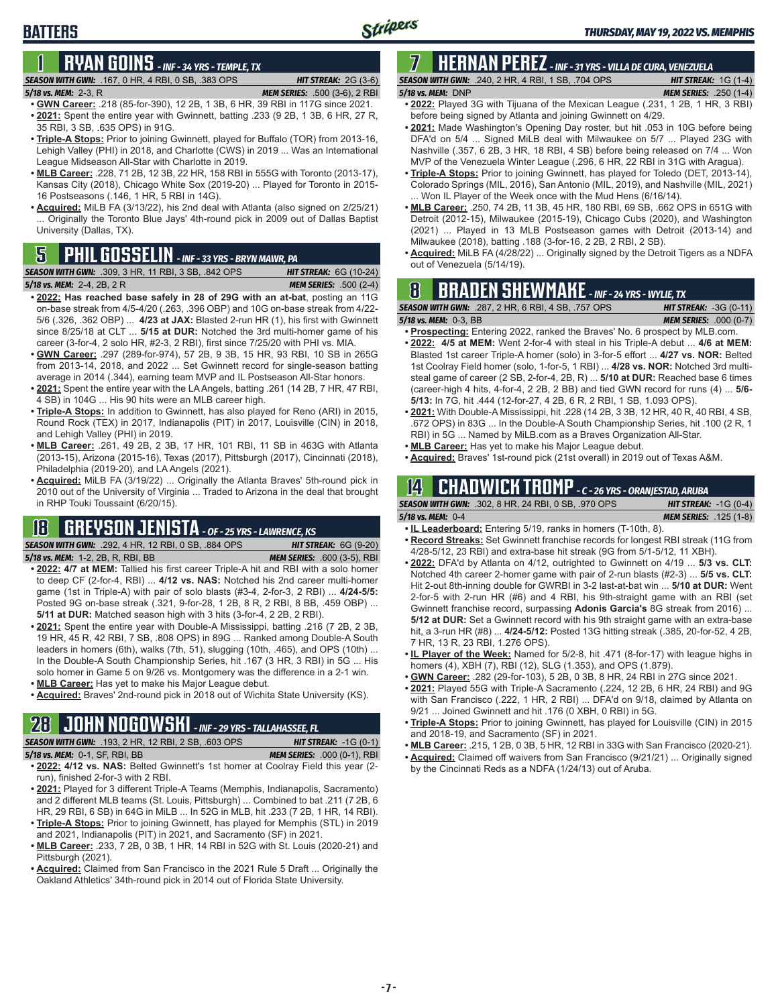### **BATTERS**

### **1 RYAN GOINS** *- INF - 34 YRS - TEMPLE, TX*

#### *SEASON WITH GWN:*.167, 0 HR, 4 RBI, 0 SB, .383 OPS *HIT STREAK:* 2G (3-6)

*5/18 vs. MEM:*2-3, R *MEM SERIES:* .500 (3-6), 2 RBI

- **• GWN Career:** .218 (85-for-390), 12 2B, 1 3B, 6 HR, 39 RBI in 117G since 2021. **• 2021:** Spent the entire year with Gwinnett, batting .233 (9 2B, 1 3B, 6 HR, 27 R, 35 RBI, 3 SB, .635 OPS) in 91G.
- **• Triple-A Stops:** Prior to joining Gwinnett, played for Buffalo (TOR) from 2013-16, Lehigh Valley (PHI) in 2018, and Charlotte (CWS) in 2019 ... Was an International League Midseason All-Star with Charlotte in 2019.
- **• MLB Career:** .228, 71 2B, 12 3B, 22 HR, 158 RBI in 555G with Toronto (2013-17), Kansas City (2018), Chicago White Sox (2019-20) ... Played for Toronto in 2015- 16 Postseasons (.146, 1 HR, 5 RBI in 14G).
- **• Acquired:** MiLB FA (3/13/22), his 2nd deal with Atlanta (also signed on 2/25/21) ... Originally the Toronto Blue Jays' 4th-round pick in 2009 out of Dallas Baptist University (Dallas, TX).

### out of Venezuela (5/14/19). **5 PHIL GOSSELIN** *- INF - 33 YRS - BRYN MAWR, PA*

| <b>SEASON WITH GWN:</b> .309. 3 HR. 11 RBI. 3 SB. .842 OPS . | <b>HIT STREAK: 6G (10-24)</b> |
|--------------------------------------------------------------|-------------------------------|
| 5/18 vs. MEM: 2-4, 2B, 2 R                                   | <b>MEM SERIES: .500 (2-4)</b> |

- **• 2022: Has reached base safely in 28 of 29G with an at-bat**, posting an 11G on-base streak from 4/5-4/20 (.263, .396 OBP) and 10G on-base streak from 4/22- 5/6 (.326, .362 OBP) ... **4/23 at JAX:** Blasted 2-run HR (1), his first with Gwinnett since 8/25/18 at CLT ... **5/15 at DUR:** Notched the 3rd multi-homer game of his career (3-for-4, 2 solo HR, #2-3, 2 RBI), first since 7/25/20 with PHI vs. MIA.
- **• GWN Career:** .297 (289-for-974), 57 2B, 9 3B, 15 HR, 93 RBI, 10 SB in 265G from 2013-14, 2018, and 2022 ... Set Gwinnett record for single-season batting average in 2014 (.344), earning team MVP and IL Postseason All-Star honors.
- **• 2021:** Spent the entire year with the LA Angels, batting .261 (14 2B, 7 HR, 47 RBI, 4 SB) in 104G ... His 90 hits were an MLB career high.
- **• Triple-A Stops:** In addition to Gwinnett, has also played for Reno (ARI) in 2015, Round Rock (TEX) in 2017, Indianapolis (PIT) in 2017, Louisville (CIN) in 2018, and Lehigh Valley (PHI) in 2019.
- **• MLB Career:** .261, 49 2B, 2 3B, 17 HR, 101 RBI, 11 SB in 463G with Atlanta (2013-15), Arizona (2015-16), Texas (2017), Pittsburgh (2017), Cincinnati (2018), Philadelphia (2019-20), and LA Angels (2021).
- **• Acquired:** MiLB FA (3/19/22) ... Originally the Atlanta Braves' 5th-round pick in 2010 out of the University of Virginia ... Traded to Arizona in the deal that brought in RHP Touki Toussaint (6/20/15).

### **18 GREYSON JENISTA** *- OF - 25 YRS - LAWRENCE, KS*

*SEASON WITH GWN:*.292, 4 HR, 12 RBI, 0 SB, .884 OPS *HIT STREAK:* 6G (9-20) *5/18 vs. MEM:*1-2, 2B, R, RBI, BB *MEM SERIES:* .600 (3-5), RBI

- **• 2022: 4/7 at MEM:** Tallied his first career Triple-A hit and RBI with a solo homer to deep CF (2-for-4, RBI) ... **4/12 vs. NAS:** Notched his 2nd career multi-homer game (1st in Triple-A) with pair of solo blasts (#3-4, 2-for-3, 2 RBI) ... **4/24-5/5:**  Posted 9G on-base streak (.321, 9-for-28, 1 2B, 8 R, 2 RBI, 8 BB, .459 OBP) ... **5/11 at DUR:** Matched season high with 3 hits (3-for-4, 2 2B, 2 RBI).
- **• 2021:** Spent the entire year with Double-A Mississippi, batting .216 (7 2B, 2 3B, 19 HR, 45 R, 42 RBI, 7 SB, .808 OPS) in 89G ... Ranked among Double-A South leaders in homers (6th), walks (7th, 51), slugging (10th, .465), and OPS (10th) ... In the Double-A South Championship Series, hit .167 (3 HR, 3 RBI) in 5G ... His solo homer in Game 5 on 9/26 vs. Montgomery was the difference in a 2-1 win.
- **• MLB Career:** Has yet to make his Major League debut.
- **• Acquired:** Braves' 2nd-round pick in 2018 out of Wichita State University (KS).

## **28 JOHN NOGOWSKI** *- INF - 29 YRS - TALLAHASSEE, FL*

*SEASON WITH GWN:*.193, 2 HR, 12 RBI, 2 SB, .603 OPS *HIT STREAK:* -1G (0-1) *5/18 vs. MEM:*0-1, SF, RBI, BB *MEM SERIES:* .000 (0-1), RBI

- **• 2022: 4/12 vs. NAS:** Belted Gwinnett's 1st homer at Coolray Field this year (2 run), finished 2-for-3 with 2 RBI.
- **• 2021:** Played for 3 different Triple-A Teams (Memphis, Indianapolis, Sacramento) and 2 different MLB teams (St. Louis, Pittsburgh) ... Combined to bat .211 (7 2B, 6 HR, 29 RBI, 6 SB) in 64G in MiLB ... In 52G in MLB, hit .233 (7 2B, 1 HR, 14 RBI).
- **• Triple-A Stops:** Prior to joining Gwinnett, has played for Memphis (STL) in 2019 and 2021, Indianapolis (PIT) in 2021, and Sacramento (SF) in 2021.
- **• MLB Career:** .233, 7 2B, 0 3B, 1 HR, 14 RBI in 52G with St. Louis (2020-21) and Pittsburgh (2021).
- **• Acquired:** Claimed from San Francisco in the 2021 Rule 5 Draft ... Originally the Oakland Athletics' 34th-round pick in 2014 out of Florida State University.

#### **7 HERNAN PEREZ** *- INF - 31 YRS - VILLA DE CURA, VENEZUELA SEASON WITH GWN:*.240, 2 HR, 4 RBI, 1 SB, .704 OPS *HIT STREAK:* 1G (1-4)

- *5/18 vs. MEM:*DNP *MEM SERIES:* .250 (1-4) **• 2022:** Played 3G with Tijuana of the Mexican League (.231, 1 2B, 1 HR, 3 RBI) before being signed by Atlanta and joining Gwinnett on 4/29.
- **• 2021:** Made Washington's Opening Day roster, but hit .053 in 10G before being DFA'd on 5/4 ... Signed MiLB deal with Milwaukee on 5/7 ... Played 23G with Nashville (.357, 6 2B, 3 HR, 18 RBI, 4 SB) before being released on 7/4 ... Won MVP of the Venezuela Winter League (.296, 6 HR, 22 RBI in 31G with Aragua).
- **• Triple-A Stops:** Prior to joining Gwinnett, has played for Toledo (DET, 2013-14), Colorado Springs (MIL, 2016), San Antonio (MIL, 2019), and Nashville (MIL, 2021)
- ... Won IL Player of the Week once with the Mud Hens (6/16/14). **• MLB Career:** .250, 74 2B, 11 3B, 45 HR, 180 RBI, 69 SB, .662 OPS in 651G with Detroit (2012-15), Milwaukee (2015-19), Chicago Cubs (2020), and Washington (2021) ... Played in 13 MLB Postseason games with Detroit (2013-14) and Milwaukee (2018), batting .188 (3-for-16, 2 2B, 2 RBI, 2 SB).
- **• Acquired:** MiLB FA (4/28/22) ... Originally signed by the Detroit Tigers as a NDFA

### **8 BRADEN SHEWMAKE** *- INF - 24 YRS - WYLIE, TX*

*SEASON WITH GWN:*.287, 2 HR, 6 RBI, 4 SB, .757 OPS *HIT STREAK:* -3G (0-11)

- *5/18 vs. MEM:*0-3, BB *MEM SERIES:* .000 (0-7) **• Prospecting:** Entering 2022, ranked the Braves' No. 6 prospect by MLB.com.
- **• 2022: 4/5 at MEM:** Went 2-for-4 with steal in his Triple-A debut ... **4/6 at MEM:**  Blasted 1st career Triple-A homer (solo) in 3-for-5 effort ... **4/27 vs. NOR:** Belted 1st Coolray Field homer (solo, 1-for-5, 1 RBI) ... **4/28 vs. NOR:** Notched 3rd multisteal game of career (2 SB, 2-for-4, 2B, R) ... **5/10 at DUR:** Reached base 6 times (career-high 4 hits, 4-for-4, 2 2B, 2 BB) and tied GWN record for runs (4) ... **5/6- 5/13:** In 7G, hit .444 (12-for-27, 4 2B, 6 R, 2 RBI, 1 SB, 1.093 OPS).
- 2021: With Double-A Mississippi, hit .228 (14 2B, 3 3B, 12 HR, 40 R, 40 RBI, 4 SB, .672 OPS) in 83G ... In the Double-A South Championship Series, hit .100 (2 R, 1 RBI) in 5G ... Named by MiLB.com as a Braves Organization All-Star.
- **• MLB Career:** Has yet to make his Major League debut.
- **• Acquired:** Braves' 1st-round pick (21st overall) in 2019 out of Texas A&M.

# **14 CHADWICK TROMP** *- C - 26 YRS - ORANJESTAD, ARUBA*

|                   | <b>SEASON WITH GWN: .302. 8 HR. 24 RBI. 0 SB. .970 OPS</b> | <b>HIT STREAK:</b> $-1G(0-4)$ |
|-------------------|------------------------------------------------------------|-------------------------------|
| 5/18 vs. MEM: 0-4 |                                                            | <b>MEM SERIES:</b> .125 (1-8) |

- **• IL Leaderboard:** Entering 5/19, ranks in homers (T-10th, 8).
- **• Record Streaks:** Set Gwinnett franchise records for longest RBI streak (11G from 4/28-5/12, 23 RBI) and extra-base hit streak (9G from 5/1-5/12, 11 XBH).
- **• 2022:** DFA'd by Atlanta on 4/12, outrighted to Gwinnett on 4/19 ... **5/3 vs. CLT:** Notched 4th career 2-homer game with pair of 2-run blasts (#2-3) ... **5/5 vs. CLT:** Hit 2-out 8th-inning double for GWRBI in 3-2 last-at-bat win ... **5/10 at DUR:** Went 2-for-5 with 2-run HR (#6) and 4 RBI, his 9th-straight game with an RBI (set Gwinnett franchise record, surpassing **Adonis Garcia's** 8G streak from 2016) ... **5/12 at DUR:** Set a Gwinnett record with his 9th straight game with an extra-base hit, a 3-run HR (#8) ... **4/24-5/12:** Posted 13G hitting streak (.385, 20-for-52, 4 2B, 7 HR, 13 R, 23 RBI, 1.276 OPS).
- **• IL Player of the Week:** Named for 5/2-8, hit .471 (8-for-17) with league highs in homers (4), XBH (7), RBI (12), SLG (1.353), and OPS (1.879).
- **• GWN Career:** .282 (29-for-103), 5 2B, 0 3B, 8 HR, 24 RBI in 27G since 2021.
- **• 2021:** Played 55G with Triple-A Sacramento (.224, 12 2B, 6 HR, 24 RBI) and 9G with San Francisco (.222, 1 HR, 2 RBI) ... DFA'd on 9/18, claimed by Atlanta on 9/21 ... Joined Gwinnett and hit .176 (0 XBH, 0 RBI) in 5G.
- **• Triple-A Stops:** Prior to joining Gwinnett, has played for Louisville (CIN) in 2015 and 2018-19, and Sacramento (SF) in 2021.
- **• MLB Career:** .215, 1 2B, 0 3B, 5 HR, 12 RBI in 33G with San Francisco (2020-21).
- **• Acquired:** Claimed off waivers from San Francisco (9/21/21) ... Originally signed by the Cincinnati Reds as a NDFA (1/24/13) out of Aruba.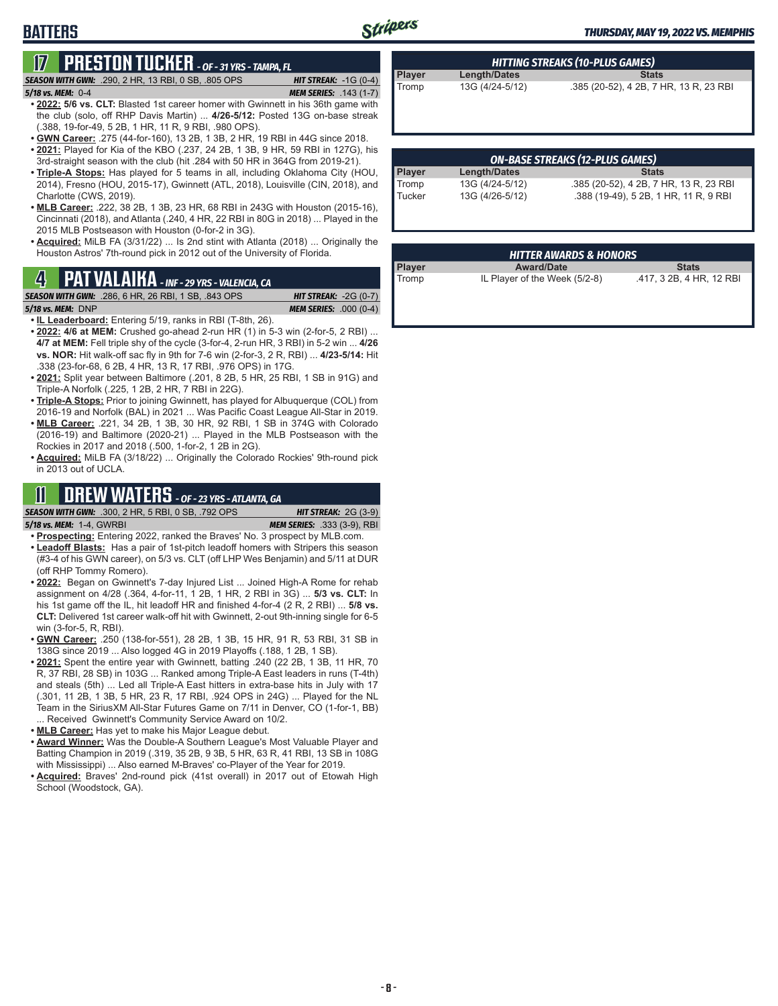# Stripers

#### *THURSDAY, MAY 19, 2022 VS. MEMPHIS*

### **BATTERS**

## **17 PRESTON TUCKER** *- OF - 31 YRS - TAMPA, FL*

*SEASON WITH GWN:*.290, 2 HR, 13 RBI, 0 SB, .805 OPS *HIT STREAK:* -1G (0-4)

- *5/18 vs. MEM:*0-4 *MEM SERIES:* .143 (1-7)
- **• 2022: 5/6 vs. CLT:** Blasted 1st career homer with Gwinnett in his 36th game with the club (solo, off RHP Davis Martin) ... **4/26-5/12:** Posted 13G on-base streak (.388, 19-for-49, 5 2B, 1 HR, 11 R, 9 RBI, .980 OPS).
- **• GWN Career:** .275 (44-for-160), 13 2B, 1 3B, 2 HR, 19 RBI in 44G since 2018.
- **• 2021:** Played for Kia of the KBO (.237, 24 2B, 1 3B, 9 HR, 59 RBI in 127G), his 3rd-straight season with the club (hit .284 with 50 HR in 364G from 2019-21).
- **• Triple-A Stops:** Has played for 5 teams in all, including Oklahoma City (HOU, 2014), Fresno (HOU, 2015-17), Gwinnett (ATL, 2018), Louisville (CIN, 2018), and Charlotte (CWS, 2019).
- **• MLB Career:** .222, 38 2B, 1 3B, 23 HR, 68 RBI in 243G with Houston (2015-16), Cincinnati (2018), and Atlanta (.240, 4 HR, 22 RBI in 80G in 2018) ... Played in the 2015 MLB Postseason with Houston (0-for-2 in 3G).
- **• Acquired:** MiLB FA (3/31/22) ... Is 2nd stint with Atlanta (2018) ... Originally the Houston Astros' 7th-round pick in 2012 out of the University of Florida.

# **Player Award/Date Stats 4** Tromp IL Player of the Week (5/2-8) .417, 3 2B, 4 HR, 12 RBI **PAT VALAIKA** *- INF - 29 YRS - VALENCIA, CA*

**SEASON WITH GWN:** .286, 6 HR, 26 RBI, 1 SB, .843 OPS

- *5/18 vs. MEM:*DNP *MEM SERIES:* .000 (0-4) **• IL Leaderboard:** Entering 5/19, ranks in RBI (T-8th, 26).
- **• 2022: 4/6 at MEM:** Crushed go-ahead 2-run HR (1) in 5-3 win (2-for-5, 2 RBI) ... **4/7 at MEM:** Fell triple shy of the cycle (3-for-4, 2-run HR, 3 RBI) in 5-2 win ... **4/26 vs. NOR:** Hit walk-off sac fly in 9th for 7-6 win (2-for-3, 2 R, RBI) ... **4/23-5/14:** Hit .338 (23-for-68, 6 2B, 4 HR, 13 R, 17 RBI, .976 OPS) in 17G.
- **• 2021:** Split year between Baltimore (.201, 8 2B, 5 HR, 25 RBI, 1 SB in 91G) and Triple-A Norfolk (.225, 1 2B, 2 HR, 7 RBI in 22G).
- **• Triple-A Stops:** Prior to joining Gwinnett, has played for Albuquerque (COL) from 2016-19 and Norfolk (BAL) in 2021 ... Was Pacific Coast League All-Star in 2019.
- **• MLB Career:** .221, 34 2B, 1 3B, 30 HR, 92 RBI, 1 SB in 374G with Colorado (2016-19) and Baltimore (2020-21) ... Played in the MLB Postseason with the Rockies in 2017 and 2018 (.500, 1-for-2, 1 2B in 2G).
- **• Acquired:** MiLB FA (3/18/22) ... Originally the Colorado Rockies' 9th-round pick in 2013 out of UCLA.

### **11 DREW WATERS** *- OF - 23 YRS - ATLANTA, GA*

*SEASON WITH GWN:*.300, 2 HR, 5 RBI, 0 SB, .792 OPS *HIT STREAK:* 2G (3-9) *5/18 vs. MEM:*1-4, GWRBI *MEM SERIES:* .333 (3-9), RBI

- **• Prospecting:** Entering 2022, ranked the Braves' No. 3 prospect by MLB.com.
- **• Leadoff Blasts:** Has a pair of 1st-pitch leadoff homers with Stripers this season (#3-4 of his GWN career), on 5/3 vs. CLT (off LHP Wes Benjamin) and 5/11 at DUR (off RHP Tommy Romero).
- **• 2022:** Began on Gwinnett's 7-day Injured List ... Joined High-A Rome for rehab assignment on 4/28 (.364, 4-for-11, 1 2B, 1 HR, 2 RBI in 3G) ... **5/3 vs. CLT:** In his 1st game off the IL, hit leadoff HR and finished 4-for-4 (2 R, 2 RBI) ... **5/8 vs. CLT:** Delivered 1st career walk-off hit with Gwinnett, 2-out 9th-inning single for 6-5 win (3-for-5, R, RBI).
- **• GWN Career:** .250 (138-for-551), 28 2B, 1 3B, 15 HR, 91 R, 53 RBI, 31 SB in 138G since 2019 ... Also logged 4G in 2019 Playoffs (.188, 1 2B, 1 SB).
- **• 2021:** Spent the entire year with Gwinnett, batting .240 (22 2B, 1 3B, 11 HR, 70 R, 37 RBI, 28 SB) in 103G ... Ranked among Triple-A East leaders in runs (T-4th) and steals (5th) ... Led all Triple-A East hitters in extra-base hits in July with 17 (.301, 11 2B, 1 3B, 5 HR, 23 R, 17 RBI, .924 OPS in 24G) ... Played for the NL Team in the SiriusXM All-Star Futures Game on 7/11 in Denver, CO (1-for-1, BB) ... Received Gwinnett's Community Service Award on 10/2.
- **• MLB Career:** Has yet to make his Major League debut.
- **• Award Winner:** Was the Double-A Southern League's Most Valuable Player and Batting Champion in 2019 (.319, 35 2B, 9 3B, 5 HR, 63 R, 41 RBI, 13 SB in 108G with Mississippi) ... Also earned M-Braves' co-Player of the Year for 2019.
- **• Acquired:** Braves' 2nd-round pick (41st overall) in 2017 out of Etowah High School (Woodstock, GA).

| HITTING STREAKS (10-PLUS GAMES) |                     |                                        |  |
|---------------------------------|---------------------|----------------------------------------|--|
| Player                          | <b>Length/Dates</b> | <b>Stats</b>                           |  |
| Tromp                           | 13G (4/24-5/12)     | .385 (20-52), 4 2B, 7 HR, 13 R, 23 RBI |  |

| <b>ON-BASE STREAKS (12-PLUS GAMES)</b> |                 |                                        |  |
|----------------------------------------|-----------------|----------------------------------------|--|
| <b>Player</b>                          | Length/Dates    | <b>Stats</b>                           |  |
| Tromp                                  | 13G (4/24-5/12) | .385 (20-52), 4 2B, 7 HR, 13 R, 23 RBI |  |
| Tucker                                 | 13G (4/26-5/12) | .388 (19-49), 5 2B, 1 HR, 11 R, 9 RBI  |  |
|                                        |                 |                                        |  |

| 'HITTER AWARDS & HONORS . |                               |                          |  |  |
|---------------------------|-------------------------------|--------------------------|--|--|
| <b>Player</b>             | <b>Award/Date</b>             | <b>Stats</b>             |  |  |
| Tromp                     | IL Player of the Week (5/2-8) | .417, 3 2B, 4 HR, 12 RBI |  |  |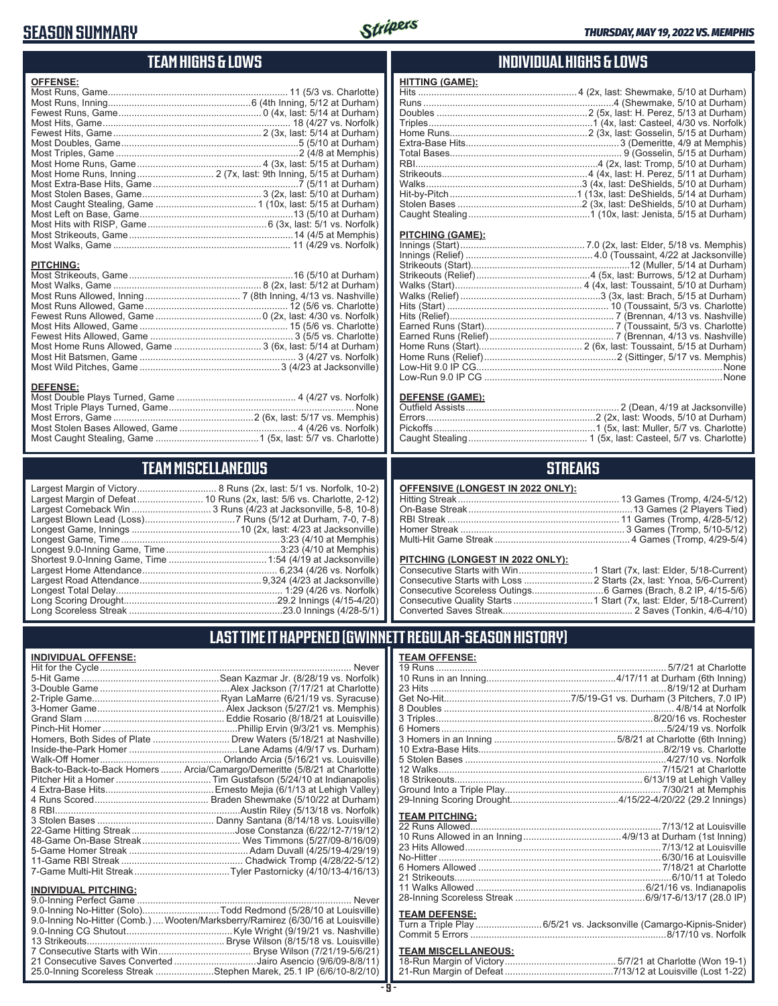### **SEASON SUMMARY**



#### **TEAM HIGHS & LOWS**

| <b>OFFENSE:</b>                                                 |  |
|-----------------------------------------------------------------|--|
|                                                                 |  |
|                                                                 |  |
|                                                                 |  |
|                                                                 |  |
|                                                                 |  |
|                                                                 |  |
|                                                                 |  |
|                                                                 |  |
| Most Home Runs, Inning 2 (7x, last: 9th Inning, 5/15 at Durham) |  |
|                                                                 |  |
|                                                                 |  |
|                                                                 |  |
|                                                                 |  |
|                                                                 |  |
|                                                                 |  |
|                                                                 |  |
|                                                                 |  |
| <b>PITCHING:</b>                                                |  |
|                                                                 |  |
|                                                                 |  |
|                                                                 |  |

Most Runs Allowed, Game ...................................................... 12 (5/6 vs. Charlotte) Fewest Runs Allowed, Game ........................................0 (2x, last: 4/30 vs. Norfolk) Most Hits Allowed, Game ........................................................ 15 (5/6 vs. Charlotte) Fewest Hits Allowed, Game ...................................................... 3 (5/5 vs. Charlotte) Most Home Runs Allowed, Game ................................. 3 (6x, last: 5/14 at Durham) Most Hit Batsmen, Game ........................................................... 3 (4/27 vs. Norfolk) Most Wild Pitches, Game .....................................................3 (4/23 at Jacksonville)

Most Double Plays Turned, Game ............................................. 4 (4/27 vs. Norfolk) Most Triple Plays Turned, Game ...................................................................... None Most Errors, Game .....................................................2 (6x, last: 5/17 vs. Memphis) Most Stolen Bases Allowed, Game ............................................ 4 (4/26 vs. Norfolk) Most Caught Stealing, Game .......................................1 (5x, last: 5/7 vs. Charlotte)

#### **INDIVIDUAL HIGHS & LOWS**

| Caught Stealing…………………………………………1 (10x, last: Jenista, 5/15 at Durham) |
|-----------------------------------------------------------------------|
|                                                                       |

#### **PITCHING (GAME):**

**HITTING (GAME):**

| None |
|------|
|      |

#### **DEFENSE (GAME):**

#### **STREAKS**

#### **PITCHING (LONGEST IN 2022 ONLY):**

#### **LAST TIME IT HAPPENED (GWINNETT REGULAR-SEASON HISTORY)**

#### **TEAM OFFENSE:**

| <b>TEAM PITCHING:</b> |
|-----------------------|
| <b>TEAM DEFENSE:</b>  |

#### **TEAM MISCELLANEOUS:**

# **TEAM MISCELLANEOUS**

Largest Margin of Victory.............................. 8 Runs (2x, last: 5/1 vs. Norfolk, 10-2)

**DEFENSE:**

Largest Margin of Defeat......................... 10 Runs (2x, last: 5/6 vs. Charlotte, 2-12) Largest Comeback Win ................................. 3 Runs (4/23 at Jacksonville, 5-8, 10-8) Largest Blown Lead (Loss) ..................................7 Runs (5/12 at Durham, 7-0, 7-8) Longest Game, Innings .........................................10 (2x, last: 4/23 at Jacksonville) Longest Game, Time ............................................................3:23 (4/10 at Memphis) Longest 9.0-Inning Game, Time ...........................................3:23 (4/10 at Memphis) Shortest 9.0-Inning Game, Time .....................................1:54 (4/19 at Jacksonville) Largest Home Attendance ................................................... 6,234 (4/26 vs. Norfolk) Largest Road Attendance ..............................................9,324 (4/23 at Jacksonville) Longest Total Delay............................................................... 1:29 (4/26 vs. Norfolk) Long Scoring Drought..........................................................29.2 Innings (4/15-4/20) Long Scoreless Streak ..........................................................23.0 Innings (4/28-5/1)

#### **INDIVIDUAL OFFENSE:**

| Never                                                                      |
|----------------------------------------------------------------------------|
| Sean Kazmar Jr. (8/28/19 vs. Norfolk)                                      |
|                                                                            |
|                                                                            |
|                                                                            |
|                                                                            |
|                                                                            |
|                                                                            |
|                                                                            |
|                                                                            |
| Back-to-Back-to-Back Homers  Arcia/Camargo/Demeritte (5/8/21 at Charlotte) |
|                                                                            |
|                                                                            |
|                                                                            |
|                                                                            |
|                                                                            |
|                                                                            |
|                                                                            |
|                                                                            |
|                                                                            |
|                                                                            |
|                                                                            |

#### **INDIVIDUAL PITCHING:**

| 9.0-Inning No-Hitter (Comb.) Wooten/Marksberry/Ramirez (6/30/16 at Louisville) |
|--------------------------------------------------------------------------------|
|                                                                                |
|                                                                                |
|                                                                                |
| 21 Consecutive Saves Converted Jairo Asencio (9/6/09-8/8/11)                   |
| 25.0-Inning Scoreless Streak Stephen Marek, 25.1 IP (6/6/10-8/2/10)            |